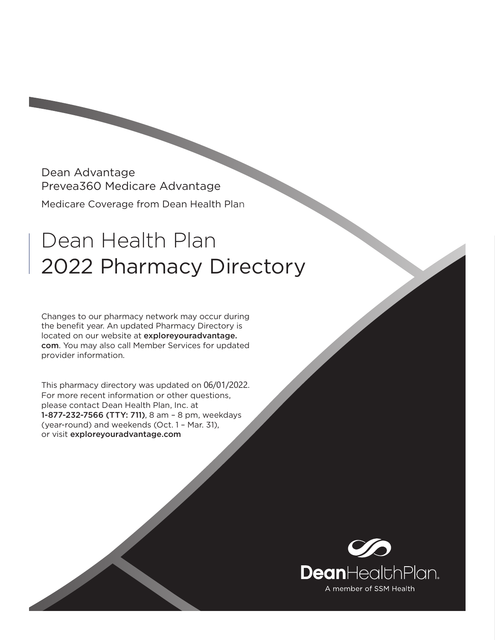Dean Advantage Prevea360 Medicare Advantage Medicare Coverage from Dean Health Plan

# Dean Health Plan 2022 Pharmacy Directory

Changes to our pharmacy network may occur during the benefit year. An updated Pharmacy Directory is located on our website at exploreyouradvantage. com. You may also call Member Services for updated provider information.

This pharmacy directory was updated on 06/01/2022. For more recent information or other questions, please contact Dean Health Plan, Inc. at 1-877-232-7566 (TTY: 711), 8 am – 8 pm, weekdays (year-round) and weekends (Oct. 1 – Mar. 31), or visit exploreyouradvantage.com

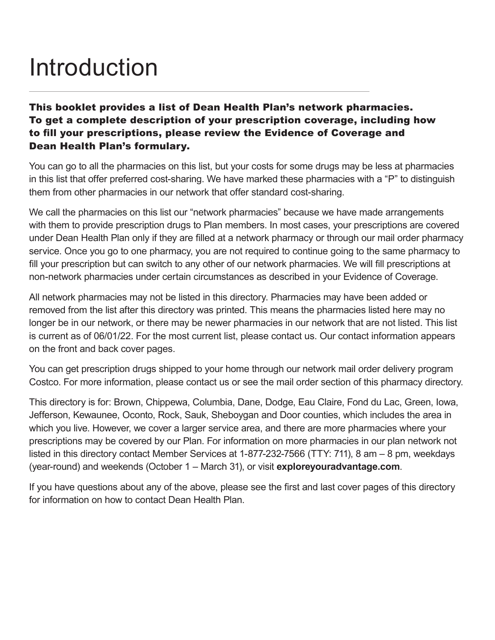# Introduction

This booklet provides a list of Dean Health Plan's network pharmacies. To get a complete description of your prescription coverage, including how to fill your prescriptions, please review the Evidence of Coverage and Dean Health Plan's formulary.

You can go to all the pharmacies on this list, but your costs for some drugs may be less at pharmacies in this list that offer preferred cost-sharing. We have marked these pharmacies with a "P" to distinguish them from other pharmacies in our network that offer standard cost-sharing.

We call the pharmacies on this list our "network pharmacies" because we have made arrangements with them to provide prescription drugs to Plan members. In most cases, your prescriptions are covered under Dean Health Plan only if they are filled at a network pharmacy or through our mail order pharmacy service. Once you go to one pharmacy, you are not required to continue going to the same pharmacy to fill your prescription but can switch to any other of our network pharmacies. We will fill prescriptions at non-network pharmacies under certain circumstances as described in your Evidence of Coverage.

All network pharmacies may not be listed in this directory. Pharmacies may have been added or removed from the list after this directory was printed. This means the pharmacies listed here may no longer be in our network, or there may be newer pharmacies in our network that are not listed. This list is current as of 06/01/22. For the most current list, please contact us. Our contact information appears on the front and back cover pages.

You can get prescription drugs shipped to your home through our network mail order delivery program Costco. For more information, please contact us or see the mail order section of this pharmacy directory.

This directory is for: Brown, Chippewa, Columbia, Dane, Dodge, Eau Claire, Fond du Lac, Green, Iowa, Jefferson, Kewaunee, Oconto, Rock, Sauk, Sheboygan and Door counties, which includes the area in which you live. However, we cover a larger service area, and there are more pharmacies where your prescriptions may be covered by our Plan. For information on more pharmacies in our plan network not listed in this directory contact Member Services at 1-877-232-7566 (TTY: 711), 8 am – 8 pm, weekdays (year-round) and weekends (October 1 – March 31), or visit **exploreyouradvantage.com**.

If you have questions about any of the above, please see the first and last cover pages of this directory for information on how to contact Dean Health Plan.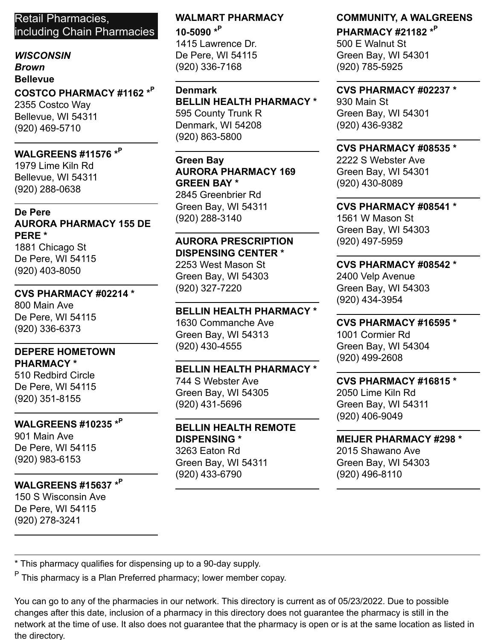## Retail Pharmacies, including Chain Pharmacies

## *WISCONSIN*

*Brown*

#### **Bellevue**

**COSTCO PHARMACY #1162 \* P** 2355 Costco Way

Bellevue, WI 54311 (920) 469-5710

## **WALGREENS #11576 \* P**

1979 Lime Kiln Rd Bellevue, WI 54311 (920) 288-0638

#### **De Pere AURORA PHARMACY 155 DE PERE \***

1881 Chicago St De Pere, WI 54115 (920) 403-8050

## **CVS PHARMACY #02214 \***

800 Main Ave De Pere, WI 54115 (920) 336-6373

#### **DEPERE HOMETOWN PHARMACY \***

510 Redbird Circle De Pere, WI 54115 (920) 351-8155

## **WALGREENS #10235 \* P**

901 Main Ave De Pere, WI 54115 (920) 983-6153

## **WALGREENS #15637 \* P**

150 S Wisconsin Ave De Pere, WI 54115 (920) 278-3241

## **WALMART PHARMACY 10-5090 \* P**

1415 Lawrence Dr. De Pere, WI 54115 (920) 336-7168

#### **Denmark**

**BELLIN HEALTH PHARMACY \*** 595 County Trunk R Denmark, WI 54208 (920) 863-5800

## **Green Bay AURORA PHARMACY 169 GREEN BAY \***

2845 Greenbrier Rd Green Bay, WI 54311 (920) 288-3140

## **AURORA PRESCRIPTION DISPENSING CENTER \***

2253 West Mason St Green Bay, WI 54303 (920) 327-7220

## **BELLIN HEALTH PHARMACY \***

1630 Commanche Ave Green Bay, WI 54313 (920) 430-4555

## **BELLIN HEALTH PHARMACY \***

744 S Webster Ave Green Bay, WI 54305 (920) 431-5696

#### **BELLIN HEALTH REMOTE DISPENSING \*** 3263 Eaton Rd Green Bay, WI 54311 (920) 433-6790

**COMMUNITY, A WALGREENS**

**PHARMACY #21182 \* P** 500 E Walnut St Green Bay, WI 54301 (920) 785-5925

#### **CVS PHARMACY #02237 \***

930 Main St Green Bay, WI 54301 (920) 436-9382

## **CVS PHARMACY #08535 \***

2222 S Webster Ave Green Bay, WI 54301 (920) 430-8089

## **CVS PHARMACY #08541 \***

1561 W Mason St Green Bay, WI 54303 (920) 497-5959

## **CVS PHARMACY #08542 \***

2400 Velp Avenue Green Bay, WI 54303 (920) 434-3954

## **CVS PHARMACY #16595 \***

1001 Cormier Rd Green Bay, WI 54304 (920) 499-2608

#### **CVS PHARMACY #16815 \*** 2050 Lime Kiln Rd Green Bay, WI 54311 (920) 406-9049

## **MEIJER PHARMACY #298 \***

2015 Shawano Ave Green Bay, WI 54303 (920) 496-8110

\* This pharmacy qualifies for dispensing up to a 90-day supply.

<sup>P</sup> This pharmacy is a Plan Preferred pharmacy; lower member copay.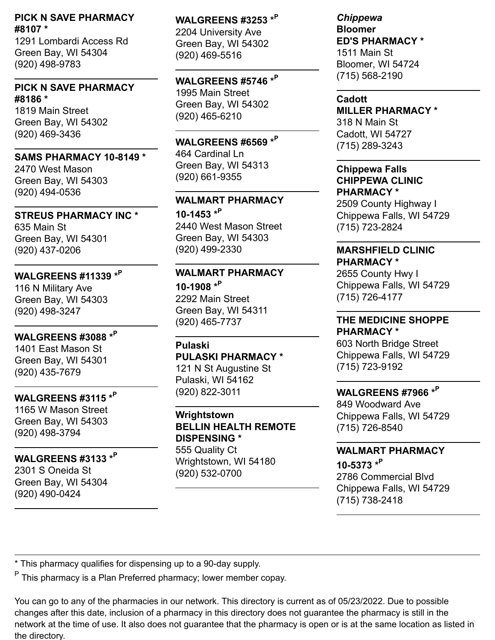#### **PICK N SAVE PHARMACY #8107 \***

1291 Lombardi Access Rd Green Bay, WI 54304 (920) 498-9783

#### **PICK N SAVE PHARMACY #8186 \***

1819 Main Street Green Bay, WI 54302 (920) 469-3436

#### **SAMS PHARMACY 10-8149 \***

2470 West Mason Green Bay, WI 54303 (920) 494-0536

**STREUS PHARMACY INC \*** 635 Main St Green Bay, WI 54301 (920) 437-0206

## **WALGREENS #11339 \* P**

116 N Military Ave Green Bay, WI 54303 (920) 498-3247

**WALGREENS #3088 \* P** 1401 East Mason St Green Bay, WI 54301 (920) 435-7679

## **WALGREENS #3115 \* P**

1165 W Mason Street Green Bay, WI 54303 (920) 498-3794

## **WALGREENS #3133 \* P**

2301 S Oneida St Green Bay, WI 54304 (920) 490-0424

**WALGREENS #3253 \* P** 2204 University Ave Green Bay, WI 54302 (920) 469-5516

**WALGREENS #5746 \* P** 1995 Main Street Green Bay, WI 54302 (920) 465-6210

**WALGREENS #6569 \* P** 464 Cardinal Ln Green Bay, WI 54313 (920) 661-9355

#### **WALMART PHARMACY**

**10-1453 \* P** 2440 West Mason Street Green Bay, WI 54303 (920) 499-2330

## **WALMART PHARMACY**

**10-1908 \* P** 2292 Main Street Green Bay, WI 54311 (920) 465-7737

**Pulaski PULASKI PHARMACY \*** 121 N St Augustine St Pulaski, WI 54162 (920) 822-3011

**Wrightstown BELLIN HEALTH REMOTE DISPENSING \*** 555 Quality Ct Wrightstown, WI 54180 (920) 532-0700

*Chippewa* **Bloomer ED'S PHARMACY \*** 1511 Main St Bloomer, WI 54724 (715) 568-2190

**Cadott MILLER PHARMACY \*** 318 N Main St Cadott, WI 54727 (715) 289-3243

**Chippewa Falls CHIPPEWA CLINIC PHARMACY \***

2509 County Highway I Chippewa Falls, WI 54729 (715) 723-2824

#### **MARSHFIELD CLINIC PHARMACY \***

2655 County Hwy I Chippewa Falls, WI 54729 (715) 726-4177

## **THE MEDICINE SHOPPE**

**PHARMACY \*** 603 North Bridge Street Chippewa Falls, WI 54729 (715) 723-9192

## **WALGREENS #7966 \* P**

849 Woodward Ave Chippewa Falls, WI 54729 (715) 726-8540

#### **WALMART PHARMACY**

**10-5373 \* P** 2786 Commercial Blvd Chippewa Falls, WI 54729 (715) 738-2418

\* This pharmacy qualifies for dispensing up to a 90-day supply.

<sup>P</sup> This pharmacy is a Plan Preferred pharmacy; lower member copay.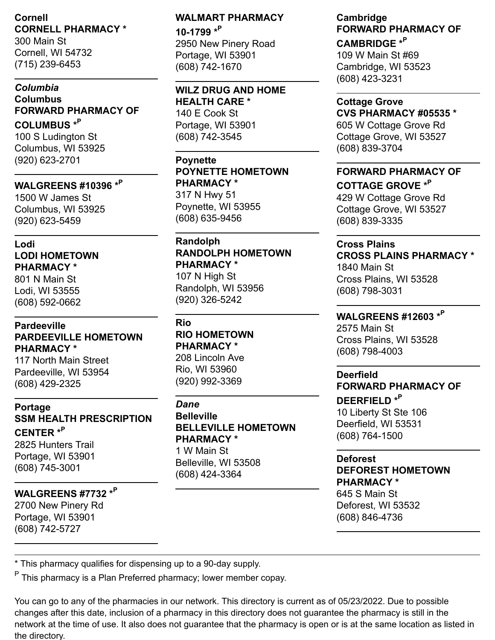## **Cornell CORNELL PHARMACY \***

300 Main St Cornell, WI 54732 (715) 239-6453

#### *Columbia* **Columbus FORWARD PHARMACY OF**

**COLUMBUS \* P** 100 S Ludington St Columbus, WI 53925 (920) 623-2701

## **WALGREENS #10396 \* P**

1500 W James St Columbus, WI 53925 (920) 623-5459

#### **Lodi LODI HOMETOWN PHARMACY \***

801 N Main St Lodi, WI 53555 (608) 592-0662

#### **Pardeeville PARDEEVILLE HOMETOWN PHARMACY \***

117 North Main Street Pardeeville, WI 53954 (608) 429-2325

## **Portage SSM HEALTH PRESCRIPTION CENTER \* P**

2825 Hunters Trail Portage, WI 53901 (608) 745-3001

## **WALGREENS #7732 \* P**

2700 New Pinery Rd Portage, WI 53901 (608) 742-5727

## **WALMART PHARMACY 10-1799 \* P**

2950 New Pinery Road Portage, WI 53901 (608) 742-1670

## **WILZ DRUG AND HOME**

**HEALTH CARE \*** 140 E Cook St Portage, WI 53901 (608) 742-3545

## **Poynette POYNETTE HOMETOWN PHARMACY \***

317 N Hwy 51 Poynette, WI 53955 (608) 635-9456

## **Randolph RANDOLPH HOMETOWN PHARMACY \***

107 N High St Randolph, WI 53956 (920) 326-5242

## **Rio**

**RIO HOMETOWN PHARMACY \*** 208 Lincoln Ave Rio, WI 53960 (920) 992-3369

#### *Dane*

**Belleville BELLEVILLE HOMETOWN PHARMACY \*** 1 W Main St Belleville, WI 53508 (608) 424-3364

#### **Cambridge FORWARD PHARMACY OF**

**CAMBRIDGE \* P** 109 W Main St #69 Cambridge, WI 53523 (608) 423-3231

## **Cottage Grove**

**CVS PHARMACY #05535 \*** 605 W Cottage Grove Rd Cottage Grove, WI 53527

(608) 839-3704

## **FORWARD PHARMACY OF COTTAGE GROVE \* P**

429 W Cottage Grove Rd Cottage Grove, WI 53527 (608) 839-3335

## **Cross Plains**

**CROSS PLAINS PHARMACY \*** 1840 Main St

Cross Plains, WI 53528 (608) 798-3031

## **WALGREENS #12603 \* P**

2575 Main St Cross Plains, WI 53528 (608) 798-4003

**Deerfield FORWARD PHARMACY OF DEERFIELD \* P** 10 Liberty St Ste 106 Deerfield, WI 53531 (608) 764-1500

#### **Deforest**

## **DEFOREST HOMETOWN PHARMACY \***

645 S Main St Deforest, WI 53532 (608) 846-4736

\* This pharmacy qualifies for dispensing up to a 90-day supply.

<sup>P</sup> This pharmacy is a Plan Preferred pharmacy; lower member copay.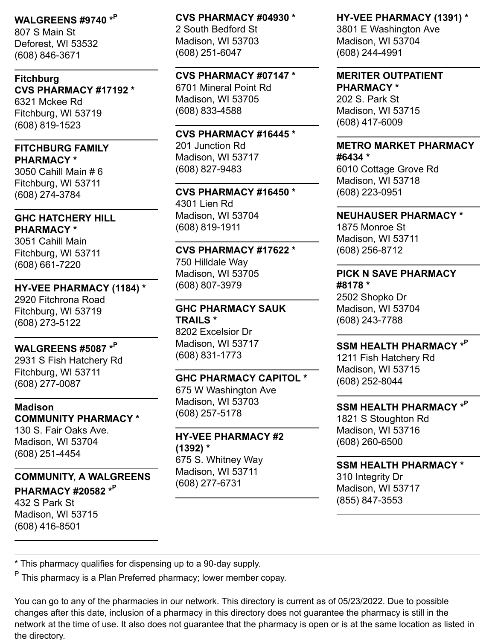## **WALGREENS #9740 \* P**

807 S Main St Deforest, WI 53532 (608) 846-3671

#### **Fitchburg CVS PHARMACY #17192 \*** 6321 Mckee Rd

Fitchburg, WI 53719 (608) 819-1523

## **FITCHBURG FAMILY**

**PHARMACY \*** 3050 Cahill Main # 6 Fitchburg, WI 53711 (608) 274-3784

#### **GHC HATCHERY HILL PHARMACY \***

3051 Cahill Main Fitchburg, WI 53711 (608) 661-7220

#### **HY-VEE PHARMACY (1184) \***

2920 Fitchrona Road Fitchburg, WI 53719 (608) 273-5122

## **WALGREENS #5087 \* P**

2931 S Fish Hatchery Rd Fitchburg, WI 53711 (608) 277-0087

#### **Madison COMMUNITY PHARMACY \***

130 S. Fair Oaks Ave. Madison, WI 53704 (608) 251-4454

## **COMMUNITY, A WALGREENS**

**PHARMACY #20582 \* P** 432 S Park St Madison, WI 53715 (608) 416-8501

## **CVS PHARMACY #04930 \*** 2 South Bedford St Madison, WI 53703 (608) 251-6047

#### **CVS PHARMACY #07147 \***

6701 Mineral Point Rd Madison, WI 53705 (608) 833-4588

## **CVS PHARMACY #16445 \***

201 Junction Rd Madison, WI 53717 (608) 827-9483

## **CVS PHARMACY #16450 \*** 4301 Lien Rd

Madison, WI 53704 (608) 819-1911

#### **CVS PHARMACY #17622 \*** 750 Hilldale Way Madison, WI 53705

(608) 807-3979

#### **GHC PHARMACY SAUK TRAILS \*** 8202 Excelsior Dr

Madison, WI 53717 (608) 831-1773

## **GHC PHARMACY CAPITOL \***

675 W Washington Ave Madison, WI 53703 (608) 257-5178

#### **HY-VEE PHARMACY #2 (1392) \*** 675 S. Whitney Way Madison, WI 53711

(608) 277-6731

## **HY-VEE PHARMACY (1391) \***

3801 E Washington Ave Madison, WI 53704 (608) 244-4991

#### **MERITER OUTPATIENT PHARMACY \***

202 S. Park St Madison, WI 53715 (608) 417-6009

#### **METRO MARKET PHARMACY #6434 \***

6010 Cottage Grove Rd Madison, WI 53718 (608) 223-0951

#### **NEUHAUSER PHARMACY \***

1875 Monroe St Madison, WI 53711 (608) 256-8712

#### **PICK N SAVE PHARMACY #8178 \***

2502 Shopko Dr Madison, WI 53704 (608) 243-7788

## **SSM HEALTH PHARMACY \* P**

1211 Fish Hatchery Rd Madison, WI 53715 (608) 252-8044

## **SSM HEALTH PHARMACY \* P**

1821 S Stoughton Rd Madison, WI 53716 (608) 260-6500

## **SSM HEALTH PHARMACY \***

310 Integrity Dr Madison, WI 53717 (855) 847-3553

\* This pharmacy qualifies for dispensing up to a 90-day supply.

<sup>P</sup> This pharmacy is a Plan Preferred pharmacy; lower member copay.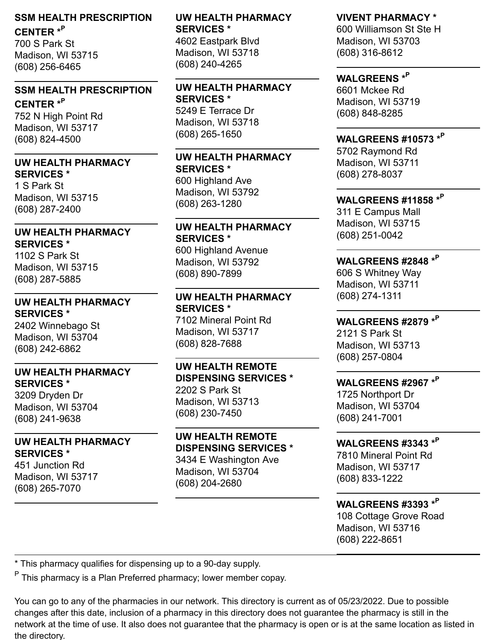## **SSM HEALTH PRESCRIPTION CENTER \* P**

700 S Park St Madison, WI 53715 (608) 256-6465

## **SSM HEALTH PRESCRIPTION**

**CENTER \* P** 752 N High Point Rd Madison, WI 53717 (608) 824-4500

#### **UW HEALTH PHARMACY SERVICES \***

1 S Park St Madison, WI 53715 (608) 287-2400

#### **UW HEALTH PHARMACY SERVICES \***

1102 S Park St Madison, WI 53715 (608) 287-5885

#### **UW HEALTH PHARMACY SERVICES \***

2402 Winnebago St Madison, WI 53704 (608) 242-6862

## **UW HEALTH PHARMACY**

**SERVICES \*** 3209 Dryden Dr Madison, WI 53704 (608) 241-9638

#### **UW HEALTH PHARMACY SERVICES \***

451 Junction Rd Madison, WI 53717 (608) 265-7070

## **UW HEALTH PHARMACY SERVICES \***

4602 Eastpark Blvd Madison, WI 53718 (608) 240-4265

#### **UW HEALTH PHARMACY SERVICES \*** 5249 E Terrace Dr

Madison, WI 53718 (608) 265-1650

#### **UW HEALTH PHARMACY SERVICES \*** 600 Highland Ave Madison, WI 53792 (608) 263-1280

#### **UW HEALTH PHARMACY SERVICES \***

600 Highland Avenue Madison, WI 53792 (608) 890-7899

## **UW HEALTH PHARMACY SERVICES \***

7102 Mineral Point Rd Madison, WI 53717 (608) 828-7688

#### **UW HEALTH REMOTE DISPENSING SERVICES \***

2202 S Park St Madison, WI 53713 (608) 230-7450

#### **UW HEALTH REMOTE DISPENSING SERVICES \***

3434 E Washington Ave Madison, WI 53704 (608) 204-2680

## **VIVENT PHARMACY \***

600 Williamson St Ste H Madison, WI 53703 (608) 316-8612

## **WALGREENS \* P**

6601 Mckee Rd Madison, WI 53719 (608) 848-8285

## **WALGREENS #10573 \* P**

5702 Raymond Rd Madison, WI 53711 (608) 278-8037

## **WALGREENS #11858 \* P**

311 E Campus Mall Madison, WI 53715 (608) 251-0042

## **WALGREENS #2848 \* P**

606 S Whitney Way Madison, WI 53711 (608) 274-1311

## **WALGREENS #2879 \* P**

2121 S Park St Madison, WI 53713 (608) 257-0804

## **WALGREENS #2967 \* P**

1725 Northport Dr Madison, WI 53704 (608) 241-7001

## **WALGREENS #3343 \* P**

7810 Mineral Point Rd Madison, WI 53717 (608) 833-1222

## **WALGREENS #3393 \* P**

108 Cottage Grove Road Madison, WI 53716 (608) 222-8651

\* This pharmacy qualifies for dispensing up to a 90-day supply.

<sup>P</sup> This pharmacy is a Plan Preferred pharmacy; lower member copay.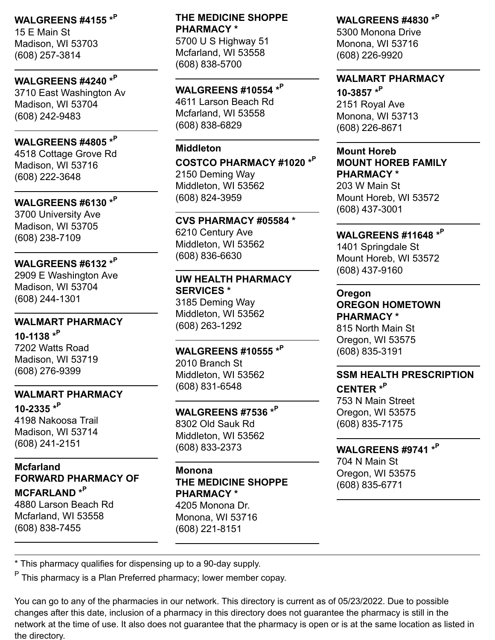## **WALGREENS #4155 \* P**

15 E Main St Madison, WI 53703 (608) 257-3814

## **WALGREENS #4240 \* P**

3710 East Washington Av Madison, WI 53704 (608) 242-9483

## **WALGREENS #4805 \* P**

4518 Cottage Grove Rd Madison, WI 53716 (608) 222-3648

## **WALGREENS #6130 \* P**

3700 University Ave Madison, WI 53705 (608) 238-7109

## **WALGREENS #6132 \* P**

2909 E Washington Ave Madison, WI 53704 (608) 244-1301

#### **WALMART PHARMACY**

**10-1138 \* P** 7202 Watts Road Madison, WI 53719 (608) 276-9399

#### **WALMART PHARMACY**

**10-2335 \* P** 4198 Nakoosa Trail Madison, WI 53714 (608) 241-2151

## **Mcfarland FORWARD PHARMACY OF**

**MCFARLAND \* P** 4880 Larson Beach Rd Mcfarland, WI 53558 (608) 838-7455

## **THE MEDICINE SHOPPE PHARMACY \***

5700 U S Highway 51 Mcfarland, WI 53558 (608) 838-5700

## **WALGREENS #10554 \* P**

4611 Larson Beach Rd Mcfarland, WI 53558 (608) 838-6829

#### **Middleton**

**COSTCO PHARMACY #1020 \* P** 2150 Deming Way Middleton, WI 53562 (608) 824-3959

## **CVS PHARMACY #05584 \*** 6210 Century Ave Middleton, WI 53562

(608) 836-6630

#### **UW HEALTH PHARMACY SERVICES \*** 3185 Deming Way Middleton, WI 53562 (608) 263-1292

**WALGREENS #10555 \* P** 2010 Branch St Middleton, WI 53562 (608) 831-6548

## **WALGREENS #7536 \* P**

8302 Old Sauk Rd Middleton, WI 53562 (608) 833-2373

#### **Monona THE MEDICINE SHOPPE PHARMACY \***

4205 Monona Dr. Monona, WI 53716 (608) 221-8151

## **WALGREENS #4830 \* P**

5300 Monona Drive Monona, WI 53716 (608) 226-9920

#### **WALMART PHARMACY**

**10-3857 \* P** 2151 Royal Ave Monona, WI 53713 (608) 226-8671

#### **Mount Horeb MOUNT HOREB FAMILY PHARMACY \***

203 W Main St Mount Horeb, WI 53572 (608) 437-3001

## **WALGREENS #11648 \* P**

1401 Springdale St Mount Horeb, WI 53572 (608) 437-9160

#### **Oregon**

**OREGON HOMETOWN PHARMACY \*** 815 North Main St Oregon, WI 53575

(608) 835-3191

## **SSM HEALTH PRESCRIPTION CENTER \* P**

753 N Main Street Oregon, WI 53575 (608) 835-7175

## **WALGREENS #9741 \* P**

704 N Main St Oregon, WI 53575 (608) 835-6771

\* This pharmacy qualifies for dispensing up to a 90-day supply.

<sup>P</sup> This pharmacy is a Plan Preferred pharmacy; lower member copay.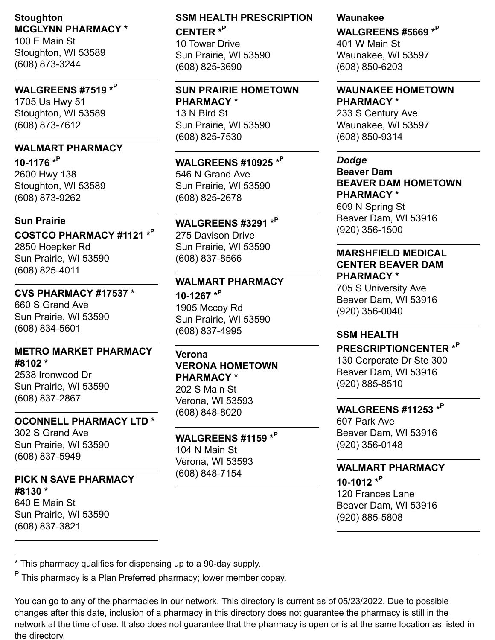## **Stoughton MCGLYNN PHARMACY \***

100 E Main St Stoughton, WI 53589 (608) 873-3244

## **WALGREENS #7519 \* P**

1705 Us Hwy 51 Stoughton, WI 53589 (608) 873-7612

## **WALMART PHARMACY**

**10-1176 \* P** 2600 Hwy 138 Stoughton, WI 53589 (608) 873-9262

#### **Sun Prairie**

**COSTCO PHARMACY #1121 \* P** 2850 Hoepker Rd Sun Prairie, WI 53590 (608) 825-4011

**CVS PHARMACY #17537 \*** 660 S Grand Ave Sun Prairie, WI 53590 (608) 834-5601

#### **METRO MARKET PHARMACY #8102 \***

2538 Ironwood Dr Sun Prairie, WI 53590 (608) 837-2867

#### **OCONNELL PHARMACY LTD \***

302 S Grand Ave Sun Prairie, WI 53590 (608) 837-5949

#### **PICK N SAVE PHARMACY #8130 \*** 640 E Main St

Sun Prairie, WI 53590 (608) 837-3821

## **SSM HEALTH PRESCRIPTION CENTER \* P**

10 Tower Drive Sun Prairie, WI 53590 (608) 825-3690

#### **SUN PRAIRIE HOMETOWN PHARMACY \*** 13 N Bird St Sun Prairie, WI 53590 (608) 825-7530

**WALGREENS #10925 \* P** 546 N Grand Ave Sun Prairie, WI 53590 (608) 825-2678

## **WALGREENS #3291 \* P**

275 Davison Drive Sun Prairie, WI 53590 (608) 837-8566

## **WALMART PHARMACY**

**10-1267 \* P** 1905 Mccoy Rd Sun Prairie, WI 53590 (608) 837-4995

## **Verona**

**VERONA HOMETOWN PHARMACY \*** 202 S Main St Verona, WI 53593 (608) 848-8020

#### **WALGREENS #1159 \* P** 104 N Main St Verona, WI 53593 (608) 848-7154

## **Waunakee**

**WALGREENS #5669 \* P**

401 W Main St Waunakee, WI 53597 (608) 850-6203

## **WAUNAKEE HOMETOWN**

**PHARMACY \*** 233 S Century Ave Waunakee, WI 53597 (608) 850-9314

#### *Dodge*

**Beaver Dam BEAVER DAM HOMETOWN PHARMACY \***

609 N Spring St Beaver Dam, WI 53916 (920) 356-1500

## **MARSHFIELD MEDICAL CENTER BEAVER DAM PHARMACY \***

705 S University Ave Beaver Dam, WI 53916 (920) 356-0040

#### **SSM HEALTH**

**PRESCRIPTIONCENTER \* P** 130 Corporate Dr Ste 300 Beaver Dam, WI 53916 (920) 885-8510

## **WALGREENS #11253 \* P**

607 Park Ave Beaver Dam, WI 53916 (920) 356-0148

## **WALMART PHARMACY**

**10-1012 \* P** 120 Frances Lane Beaver Dam, WI 53916 (920) 885-5808

\* This pharmacy qualifies for dispensing up to a 90-day supply.

<sup>P</sup> This pharmacy is a Plan Preferred pharmacy; lower member copay.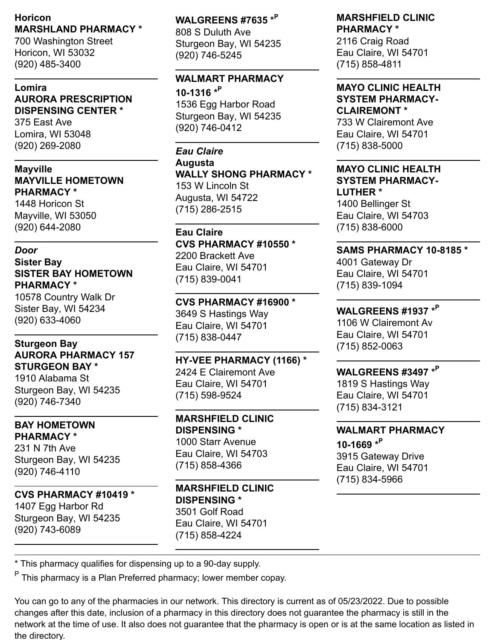#### **Horicon MARSHLAND PHARMACY \***

700 Washington Street Horicon, WI 53032 (920) 485-3400

## **Lomira AURORA PRESCRIPTION DISPENSING CENTER \***

375 East Ave Lomira, WI 53048 (920) 269-2080

**Mayville MAYVILLE HOMETOWN PHARMACY \***

1448 Horicon St Mayville, WI 53050 (920) 644-2080

#### *Door*

## **Sister Bay SISTER BAY HOMETOWN PHARMACY \***

10578 Country Walk Dr Sister Bay, WI 54234 (920) 633-4060

#### **Sturgeon Bay AURORA PHARMACY 157 STURGEON BAY \***

1910 Alabama St Sturgeon Bay, WI 54235 (920) 746-7340

#### **BAY HOMETOWN PHARMACY \***

231 N 7th Ave Sturgeon Bay, WI 54235 (920) 746-4110

## **CVS PHARMACY #10419 \*** 1407 Egg Harbor Rd

Sturgeon Bay, WI 54235 (920) 743-6089

## **WALGREENS #7635 \* P** 808 S Duluth Ave Sturgeon Bay, WI 54235 (920) 746-5245

## **WALMART PHARMACY**

**10-1316 \* P** 1536 Egg Harbor Road Sturgeon Bay, WI 54235 (920) 746-0412

## *Eau Claire* **Augusta WALLY SHONG PHARMACY \***

153 W Lincoln St Augusta, WI 54722 (715) 286-2515

## **Eau Claire**

**CVS PHARMACY #10550 \*** 2200 Brackett Ave Eau Claire, WI 54701 (715) 839-0041

## **CVS PHARMACY #16900 \***

3649 S Hastings Way Eau Claire, WI 54701 (715) 838-0447

## **HY-VEE PHARMACY (1166) \***

2424 E Clairemont Ave Eau Claire, WI 54701 (715) 598-9524

## **MARSHFIELD CLINIC DISPENSING \***

1000 Starr Avenue Eau Claire, WI 54703 (715) 858-4366

#### **MARSHFIELD CLINIC DISPENSING \*** 3501 Golf Road Eau Claire, WI 54701 (715) 858-4224

#### **MARSHFIELD CLINIC PHARMACY \***

2116 Craig Road Eau Claire, WI 54701 (715) 858-4811

#### **MAYO CLINIC HEALTH SYSTEM PHARMACY-CLAIREMONT \***

733 W Clairemont Ave Eau Claire, WI 54701 (715) 838-5000

#### **MAYO CLINIC HEALTH SYSTEM PHARMACY-LUTHER \***

1400 Bellinger St Eau Claire, WI 54703 (715) 838-6000

## **SAMS PHARMACY 10-8185 \***

4001 Gateway Dr Eau Claire, WI 54701 (715) 839-1094

## **WALGREENS #1937 \* P**

1106 W Clairemont Av Eau Claire, WI 54701 (715) 852-0063

## **WALGREENS #3497 \* P**

1819 S Hastings Way Eau Claire, WI 54701 (715) 834-3121

## **WALMART PHARMACY**

**10-1669 \* P** 3915 Gateway Drive Eau Claire, WI 54701 (715) 834-5966

\* This pharmacy qualifies for dispensing up to a 90-day supply.

<sup>P</sup> This pharmacy is a Plan Preferred pharmacy; lower member copay.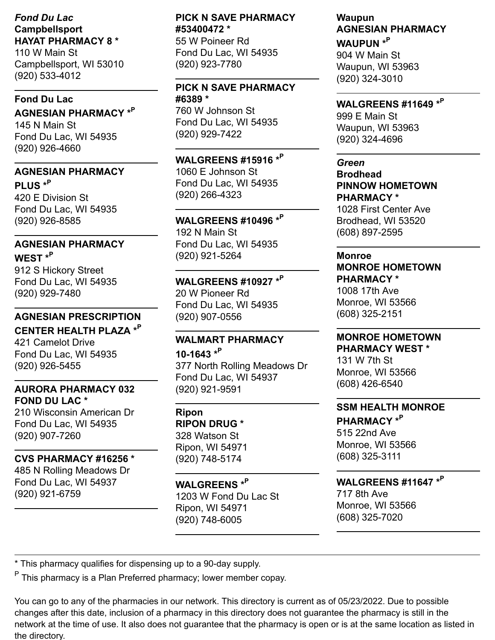#### *Fond Du Lac* **Campbellsport HAYAT PHARMACY 8 \***

110 W Main St Campbellsport, WI 53010 (920) 533-4012

#### **Fond Du Lac**

**AGNESIAN PHARMACY \* P** 145 N Main St Fond Du Lac, WI 54935 (920) 926-4660

#### **AGNESIAN PHARMACY**

**PLUS \* P** 420 E Division St Fond Du Lac, WI 54935 (920) 926-8585

## **AGNESIAN PHARMACY**

**WEST \* P** 912 S Hickory Street Fond Du Lac, WI 54935 (920) 929-7480

#### **AGNESIAN PRESCRIPTION**

**CENTER HEALTH PLAZA \* P** 421 Camelot Drive Fond Du Lac, WI 54935 (920) 926-5455

#### **AURORA PHARMACY 032 FOND DU LAC \***

210 Wisconsin American Dr Fond Du Lac, WI 54935 (920) 907-7260

## **CVS PHARMACY #16256 \***

485 N Rolling Meadows Dr Fond Du Lac, WI 54937 (920) 921-6759

## **PICK N SAVE PHARMACY #53400472 \***

55 W Poineer Rd Fond Du Lac, WI 54935 (920) 923-7780

#### **PICK N SAVE PHARMACY #6389 \***

760 W Johnson St Fond Du Lac, WI 54935 (920) 929-7422

**WALGREENS #15916 \* P** 1060 E Johnson St Fond Du Lac, WI 54935 (920) 266-4323

## **WALGREENS #10496 \* P**

192 N Main St Fond Du Lac, WI 54935 (920) 921-5264

## **WALGREENS #10927 \* P** 20 W Pioneer Rd

Fond Du Lac, WI 54935 (920) 907-0556

## **WALMART PHARMACY**

**10-1643 \* P** 377 North Rolling Meadows Dr Fond Du Lac, WI 54937 (920) 921-9591

**Ripon RIPON DRUG \*** 328 Watson St Ripon, WI 54971 (920) 748-5174

**WALGREENS \* P** 1203 W Fond Du Lac St Ripon, WI 54971 (920) 748-6005

## **Waupun AGNESIAN PHARMACY**

**WAUPUN \* P** 904 W Main St Waupun, WI 53963 (920) 324-3010

## **WALGREENS #11649 \* P**

999 E Main St Waupun, WI 53963 (920) 324-4696

#### *Green* **Brodhead**

**PINNOW HOMETOWN PHARMACY \***

1028 First Center Ave Brodhead, WI 53520 (608) 897-2595

#### **Monroe**

## **MONROE HOMETOWN PHARMACY \***

1008 17th Ave Monroe, WI 53566 (608) 325-2151

## **MONROE HOMETOWN**

**PHARMACY WEST \*** 131 W 7th St Monroe, WI 53566 (608) 426-6540

## **SSM HEALTH MONROE**

**PHARMACY \* P** 515 22nd Ave Monroe, WI 53566 (608) 325-3111

## **WALGREENS #11647 \* P**

717 8th Ave Monroe, WI 53566 (608) 325-7020

\* This pharmacy qualifies for dispensing up to a 90-day supply.

<sup>P</sup> This pharmacy is a Plan Preferred pharmacy; lower member copay.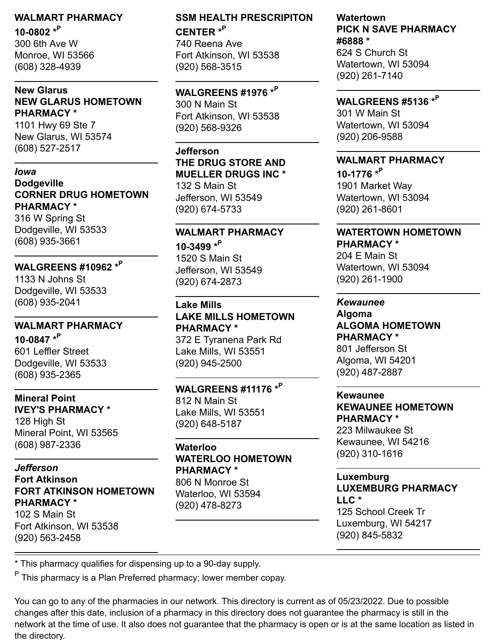## **WALMART PHARMACY 10-0802 \* P**

300 6th Ave W Monroe, WI 53566 (608) 328-4939

#### **New Glarus NEW GLARUS HOMETOWN PHARMACY \***

1101 Hwy 69 Ste 7 New Glarus, WI 53574 (608) 527-2517

#### *Iowa* **Dodgeville CORNER DRUG HOMETOWN PHARMACY \***

316 W Spring St Dodgeville, WI 53533 (608) 935-3661

## **WALGREENS #10962 \* P**

1133 N Johns St Dodgeville, WI 53533 (608) 935-2041

## **WALMART PHARMACY**

**10-0847 \* P** 601 Leffler Street Dodgeville, WI 53533 (608) 935-2365

#### **Mineral Point IVEY'S PHARMACY \***

128 High St Mineral Point, WI 53565 (608) 987-2336

#### *Jefferson* **Fort Atkinson FORT ATKINSON HOMETOWN PHARMACY \*** 102 S Main St Fort Atkinson, WI 53538 (920) 563-2458

## **SSM HEALTH PRESCRIPITON CENTER \* P**

740 Reena Ave Fort Atkinson, WI 53538 (920) 568-3515

## **WALGREENS #1976 \* P**

300 N Main St Fort Atkinson, WI 53538 (920) 568-9326

## **Jefferson**

## **THE DRUG STORE AND MUELLER DRUGS INC \***

132 S Main St Jefferson, WI 53549 (920) 674-5733

## **WALMART PHARMACY**

**10-3499 \* P** 1520 S Main St Jefferson, WI 53549 (920) 674-2873

**Lake Mills LAKE MILLS HOMETOWN PHARMACY \*** 372 E Tyranena Park Rd Lake Mills, WI 53551

(920) 945-2500

## **WALGREENS #11176 \* P**

812 N Main St Lake Mills, WI 53551 (920) 648-5187

#### **Waterloo WATERLOO HOMETOWN PHARMACY \*** 806 N Monroe St Waterloo, WI 53594 (920) 478-8273

## **Watertown PICK N SAVE PHARMACY #6888 \*** 624 S Church St Watertown, WI 53094

(920) 261-7140

## **WALGREENS #5136 \* P**

301 W Main St Watertown, WI 53094 (920) 206-9588

## **WALMART PHARMACY**

**10-1776 \* P** 1901 Market Way Watertown, WI 53094 (920) 261-8601

#### **WATERTOWN HOMETOWN PHARMACY \***

204 E Main St Watertown, WI 53094 (920) 261-1900

## *Kewaunee*

**Algoma ALGOMA HOMETOWN PHARMACY \*** 801 Jefferson St Algoma, WI 54201 (920) 487-2887

## **Kewaunee**

**KEWAUNEE HOMETOWN PHARMACY \***

223 Milwaukee St Kewaunee, WI 54216 (920) 310-1616

## **Luxemburg LUXEMBURG PHARMACY LLC \*** 125 School Creek Tr Luxemburg, WI 54217

(920) 845-5832

\* This pharmacy qualifies for dispensing up to a 90-day supply.

<sup>P</sup> This pharmacy is a Plan Preferred pharmacy; lower member copay.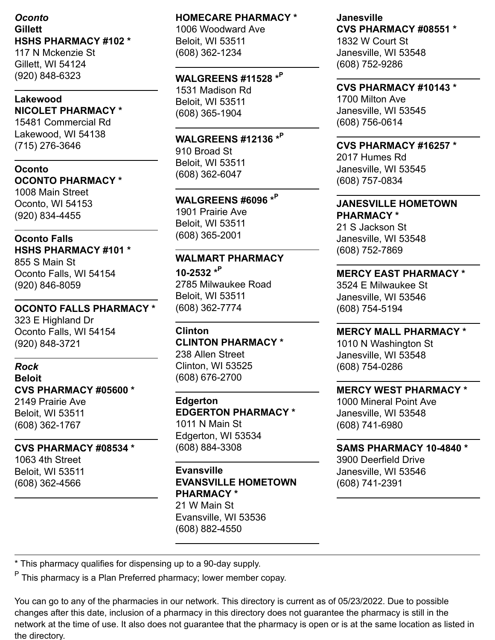## *Oconto* **Gillett HSHS PHARMACY #102 \***

117 N Mckenzie St Gillett, WI 54124 (920) 848-6323

## **Lakewood NICOLET PHARMACY \***

15481 Commercial Rd Lakewood, WI 54138 (715) 276-3646

#### **Oconto OCONTO PHARMACY \***

1008 Main Street Oconto, WI 54153 (920) 834-4455

#### **Oconto Falls HSHS PHARMACY #101 \***

855 S Main St Oconto Falls, WI 54154 (920) 846-8059

#### **OCONTO FALLS PHARMACY \*** 323 E Highland Dr Oconto Falls, WI 54154 (920) 848-3721

## *Rock* **Beloit CVS PHARMACY #05600 \*** 2149 Prairie Ave Beloit, WI 53511 (608) 362-1767

#### **CVS PHARMACY #08534 \***

1063 4th Street Beloit, WI 53511 (608) 362-4566

#### **HOMECARE PHARMACY \***

1006 Woodward Ave Beloit, WI 53511 (608) 362-1234

## **WALGREENS #11528 \* P**

1531 Madison Rd Beloit, WI 53511 (608) 365-1904

#### **WALGREENS #12136 \* P** 910 Broad St Beloit, WI 53511 (608) 362-6047

**WALGREENS #6096 \* P** 1901 Prairie Ave Beloit, WI 53511 (608) 365-2001

## **WALMART PHARMACY**

**10-2532 \* P** 2785 Milwaukee Road Beloit, WI 53511 (608) 362-7774

**Clinton CLINTON PHARMACY \*** 238 Allen Street Clinton, WI 53525 (608) 676-2700

## **Edgerton EDGERTON PHARMACY \*** 1011 N Main St Edgerton, WI 53534 (608) 884-3308

## **Evansville EVANSVILLE HOMETOWN PHARMACY \***

21 W Main St Evansville, WI 53536 (608) 882-4550

#### **Janesville CVS PHARMACY #08551 \*** 1832 W Court St Janesville, WI 53548 (608) 752-9286

## **CVS PHARMACY #10143 \***

1700 Milton Ave Janesville, WI 53545 (608) 756-0614

#### **CVS PHARMACY #16257 \***

2017 Humes Rd Janesville, WI 53545 (608) 757-0834

#### **JANESVILLE HOMETOWN PHARMACY \***

21 S Jackson St Janesville, WI 53548 (608) 752-7869

## **MERCY EAST PHARMACY \***

3524 E Milwaukee St Janesville, WI 53546 (608) 754-5194

## **MERCY MALL PHARMACY \***

1010 N Washington St Janesville, WI 53548 (608) 754-0286

## **MERCY WEST PHARMACY \***

1000 Mineral Point Ave Janesville, WI 53548 (608) 741-6980

## **SAMS PHARMACY 10-4840 \***

3900 Deerfield Drive Janesville, WI 53546 (608) 741-2391

\* This pharmacy qualifies for dispensing up to a 90-day supply.

<sup>P</sup> This pharmacy is a Plan Preferred pharmacy; lower member copay.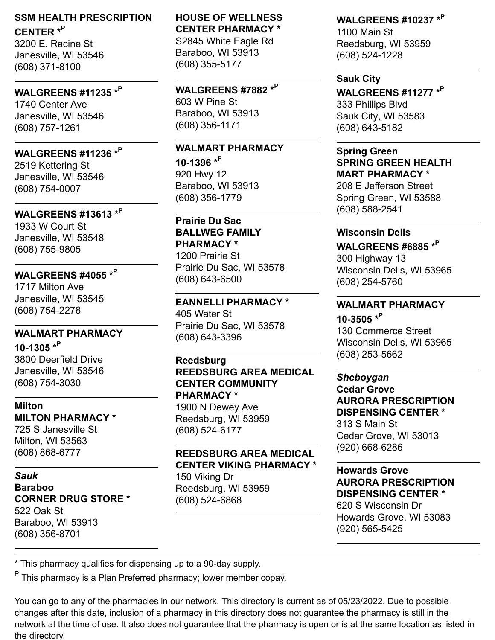## **SSM HEALTH PRESCRIPTION CENTER \* P**

3200 E. Racine St Janesville, WI 53546 (608) 371-8100

## **WALGREENS #11235 \* P**

1740 Center Ave Janesville, WI 53546 (608) 757-1261

## **WALGREENS #11236 \* P**

2519 Kettering St Janesville, WI 53546 (608) 754-0007

## **WALGREENS #13613 \* P**

1933 W Court St Janesville, WI 53548 (608) 755-9805

#### **WALGREENS #4055 \* P** 1717 Milton Ave

Janesville, WI 53545 (608) 754-2278

## **WALMART PHARMACY 10-1305 \* P**

3800 Deerfield Drive Janesville, WI 53546 (608) 754-3030

#### **Milton MILTON PHARMACY \*** 725 S Janesville St Milton, WI 53563 (608) 868-6777

#### *Sauk* **Baraboo CORNER DRUG STORE \*** 522 Oak St Baraboo, WI 53913 (608) 356-8701

#### **HOUSE OF WELLNESS CENTER PHARMACY \*** S2845 White Eagle Rd Baraboo, WI 53913 (608) 355-5177

**WALGREENS #7882 \* P** 603 W Pine St Baraboo, WI 53913 (608) 356-1171

## **WALMART PHARMACY 10-1396 \* P** 920 Hwy 12 Baraboo, WI 53913 (608) 356-1779

**Prairie Du Sac BALLWEG FAMILY PHARMACY \*** 1200 Prairie St Prairie Du Sac, WI 53578 (608) 643-6500

#### **EANNELLI PHARMACY \*** 405 Water St Prairie Du Sac, WI 53578 (608) 643-3396

#### **Reedsburg REEDSBURG AREA MEDICAL CENTER COMMUNITY PHARMACY \*** 1900 N Dewey Ave Reedsburg, WI 53959 (608) 524-6177

#### **REEDSBURG AREA MEDICAL CENTER VIKING PHARMACY \*** 150 Viking Dr Reedsburg, WI 53959 (608) 524-6868

## **WALGREENS #10237 \* P**

1100 Main St Reedsburg, WI 53959 (608) 524-1228

#### **Sauk City**

**WALGREENS #11277 \* P** 333 Phillips Blvd Sauk City, WI 53583 (608) 643-5182

## **Spring Green SPRING GREEN HEALTH MART PHARMACY \***

208 E Jefferson Street Spring Green, WI 53588 (608) 588-2541

## **Wisconsin Dells**

**WALGREENS #6885 \* P** 300 Highway 13 Wisconsin Dells, WI 53965 (608) 254-5760

## **WALMART PHARMACY**

**10-3505 \* P** 130 Commerce Street Wisconsin Dells, WI 53965 (608) 253-5662

#### *Sheboygan*

**Cedar Grove AURORA PRESCRIPTION DISPENSING CENTER \*** 313 S Main St Cedar Grove, WI 53013 (920) 668-6286

## **Howards Grove AURORA PRESCRIPTION DISPENSING CENTER \***

620 S Wisconsin Dr Howards Grove, WI 53083 (920) 565-5425

\* This pharmacy qualifies for dispensing up to a 90-day supply.

<sup>P</sup> This pharmacy is a Plan Preferred pharmacy; lower member copay.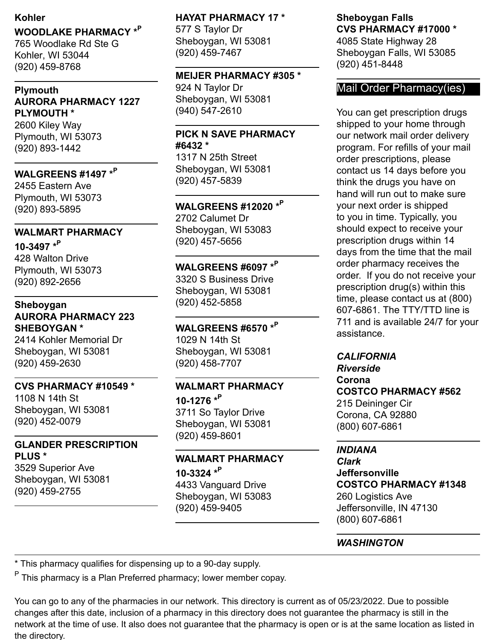#### **Kohler**

## **WOODLAKE PHARMACY \* P**

765 Woodlake Rd Ste G Kohler, WI 53044 (920) 459-8768

#### **Plymouth AURORA PHARMACY 1227 PLYMOUTH \***

2600 Kiley Way Plymouth, WI 53073 (920) 893-1442

## **WALGREENS #1497 \* P**

2455 Eastern Ave Plymouth, WI 53073 (920) 893-5895

#### **WALMART PHARMACY**

**10-3497 \* P** 428 Walton Drive Plymouth, WI 53073 (920) 892-2656

#### **Sheboygan AURORA PHARMACY 223 SHEBOYGAN \***

2414 Kohler Memorial Dr Sheboygan, WI 53081 (920) 459-2630

#### **CVS PHARMACY #10549 \***

1108 N 14th St Sheboygan, WI 53081 (920) 452-0079

#### **GLANDER PRESCRIPTION PLUS \***

3529 Superior Ave Sheboygan, WI 53081 (920) 459-2755

#### **HAYAT PHARMACY 17 \***

577 S Taylor Dr Sheboygan, WI 53081 (920) 459-7467

#### **MEIJER PHARMACY #305 \***

924 N Taylor Dr Sheboygan, WI 53081 (940) 547-2610

#### **PICK N SAVE PHARMACY #6432 \***

1317 N 25th Street Sheboygan, WI 53081 (920) 457-5839

## **WALGREENS #12020 \* P**

2702 Calumet Dr Sheboygan, WI 53083 (920) 457-5656

## **WALGREENS #6097 \* P**

3320 S Business Drive Sheboygan, WI 53081 (920) 452-5858

## **WALGREENS #6570 \* P**

1029 N 14th St Sheboygan, WI 53081 (920) 458-7707

## **WALMART PHARMACY 10-1276 \* P** 3711 So Taylor Drive

Sheboygan, WI 53081 (920) 459-8601

## **WALMART PHARMACY 10-3324 \* P**

4433 Vanguard Drive Sheboygan, WI 53083 (920) 459-9405

#### **Sheboygan Falls CVS PHARMACY #17000 \***

4085 State Highway 28 Sheboygan Falls, WI 53085 (920) 451-8448

## Mail Order Pharmacy(ies)

You can get prescription drugs shipped to your home through our network mail order delivery program. For refills of your mail order prescriptions, please contact us 14 days before you think the drugs you have on hand will run out to make sure your next order is shipped to you in time. Typically, you should expect to receive your prescription drugs within 14 days from the time that the mail order pharmacy receives the order. If you do not receive your prescription drug(s) within this time, please contact us at (800) 607-6861. The TTY/TTD line is 711 and is available 24/7 for your assistance.

#### *CALIFORNIA*

*Riverside* **Corona COSTCO PHARMACY #562** 215 Deininger Cir Corona, CA 92880 (800) 607-6861

#### *INDIANA*

*Clark* **Jeffersonville COSTCO PHARMACY #1348** 260 Logistics Ave Jeffersonville, IN 47130 (800) 607-6861

## *WASHINGTON*

\* This pharmacy qualifies for dispensing up to a 90-day supply.

<sup>P</sup> This pharmacy is a Plan Preferred pharmacy; lower member copay.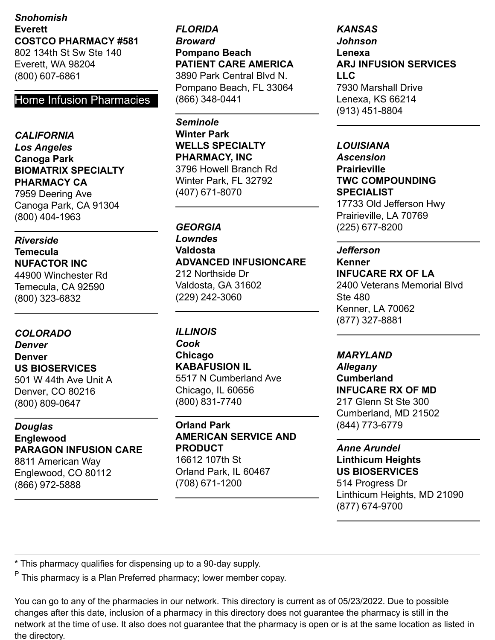## *Snohomish* **Everett COSTCO PHARMACY #581**

802 134th St Sw Ste 140 Everett, WA 98204 (800) 607-6861

## Home Infusion Pharmacies

*CALIFORNIA Los Angeles* **Canoga Park BIOMATRIX SPECIALTY PHARMACY CA** 7959 Deering Ave Canoga Park, CA 91304 (800) 404-1963

*Riverside* **Temecula NUFACTOR INC** 44900 Winchester Rd Temecula, CA 92590 (800) 323-6832

#### *COLORADO*

*Denver* **Denver US BIOSERVICES** 501 W 44th Ave Unit A Denver, CO 80216 (800) 809-0647

*Douglas* **Englewood PARAGON INFUSION CARE** 8811 American Way Englewood, CO 80112

(866) 972-5888

*FLORIDA Broward* **Pompano Beach PATIENT CARE AMERICA** 3890 Park Central Blvd N. Pompano Beach, FL 33064 (866) 348-0441

*Seminole* **Winter Park WELLS SPECIALTY PHARMACY, INC** 3796 Howell Branch Rd Winter Park, FL 32792 (407) 671-8070

#### *GEORGIA*

*Lowndes* **Valdosta ADVANCED INFUSIONCARE** 212 Northside Dr Valdosta, GA 31602 (229) 242-3060

*ILLINOIS Cook* **Chicago KABAFUSION IL** 5517 N Cumberland Ave Chicago, IL 60656 (800) 831-7740

**Orland Park AMERICAN SERVICE AND PRODUCT** 16612 107th St Orland Park, IL 60467 (708) 671-1200

*KANSAS Johnson* **Lenexa ARJ INFUSION SERVICES LLC** 7930 Marshall Drive Lenexa, KS 66214 (913) 451-8804

*LOUISIANA Ascension* **Prairieville TWC COMPOUNDING SPECIALIST** 17733 Old Jefferson Hwy Prairieville, LA 70769 (225) 677-8200

#### *Jefferson*

#### **Kenner INFUCARE RX OF LA**

2400 Veterans Memorial Blvd Ste 480 Kenner, LA 70062 (877) 327-8881

#### *MARYLAND*

*Allegany* **Cumberland INFUCARE RX OF MD** 217 Glenn St Ste 300 Cumberland, MD 21502 (844) 773-6779

*Anne Arundel* **Linthicum Heights US BIOSERVICES**

514 Progress Dr Linthicum Heights, MD 21090 (877) 674-9700

\* This pharmacy qualifies for dispensing up to a 90-day supply.

<sup>P</sup> This pharmacy is a Plan Preferred pharmacy; lower member copay.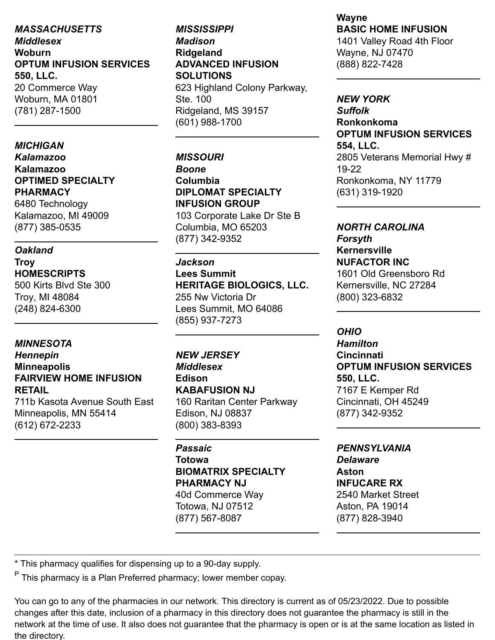*MASSACHUSETTS Middlesex* **Woburn OPTUM INFUSION SERVICES 550, LLC.** 20 Commerce Way Woburn, MA 01801 (781) 287-1500

*MICHIGAN Kalamazoo* **Kalamazoo OPTIMED SPECIALTY PHARMACY**

6480 Technology Kalamazoo, MI 49009 (877) 385-0535

## *Oakland*

**Troy HOMESCRIPTS**

500 Kirts Blvd Ste 300 Troy, MI 48084 (248) 824-6300

## *MINNESOTA*

## *Hennepin* **Minneapolis FAIRVIEW HOME INFUSION RETAIL**

711b Kasota Avenue South East Minneapolis, MN 55414 (612) 672-2233

## *MISSISSIPPI Madison* **Ridgeland ADVANCED INFUSION SOLUTIONS** 623 Highland Colony Parkway, Ste. 100 Ridgeland, MS 39157

(601) 988-1700

*MISSOURI Boone* **Columbia DIPLOMAT SPECIALTY INFUSION GROUP**

103 Corporate Lake Dr Ste B Columbia, MO 65203 (877) 342-9352

#### *Jackson*

**Lees Summit HERITAGE BIOLOGICS, LLC.** 255 Nw Victoria Dr Lees Summit, MO 64086 (855) 937-7273

*NEW JERSEY Middlesex* **Edison KABAFUSION NJ** 160 Raritan Center Parkway

Edison, NJ 08837 (800) 383-8393

## *Passaic* **Totowa BIOMATRIX SPECIALTY PHARMACY NJ** 40d Commerce Way

Totowa, NJ 07512 (877) 567-8087

#### **Wayne BASIC HOME INFUSION**

1401 Valley Road 4th Floor Wayne, NJ 07470 (888) 822-7428

#### *NEW YORK*

*Suffolk* **Ronkonkoma OPTUM INFUSION SERVICES 554, LLC.** 2805 Veterans Memorial Hwy # 19-22 Ronkonkoma, NY 11779 (631) 319-1920

#### *NORTH CAROLINA Forsyth*

**Kernersville NUFACTOR INC** 1601 Old Greensboro Rd Kernersville, NC 27284 (800) 323-6832

#### *OHIO*

*Hamilton* **Cincinnati OPTUM INFUSION SERVICES 550, LLC.** 7167 E Kemper Rd Cincinnati, OH 45249 (877) 342-9352

#### *PENNSYLVANIA*

*Delaware* **Aston INFUCARE RX** 2540 Market Street Aston, PA 19014 (877) 828-3940

\* This pharmacy qualifies for dispensing up to a 90-day supply.

<sup>P</sup> This pharmacy is a Plan Preferred pharmacy; lower member copay.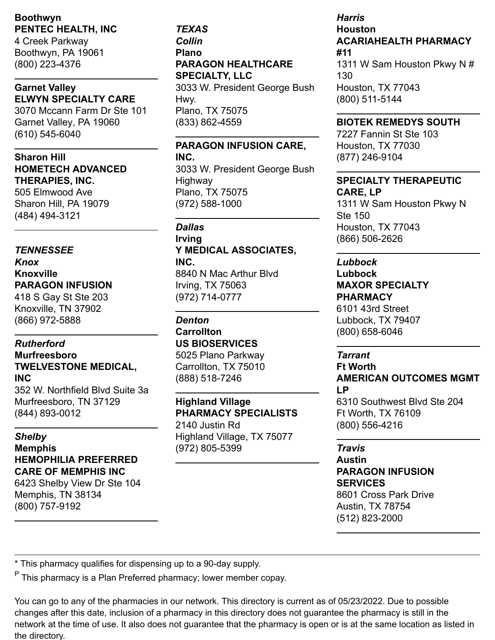#### **Boothwyn PENTEC HEALTH, INC**

4 Creek Parkway Boothwyn, PA 19061 (800) 223-4376

#### **Garnet Valley ELWYN SPECIALTY CARE**

3070 Mccann Farm Dr Ste 101 Garnet Valley, PA 19060 (610) 545-6040

#### **Sharon Hill HOMETECH ADVANCED THERAPIES, INC.**

505 Elmwood Ave Sharon Hill, PA 19079 (484) 494-3121

#### *TENNESSEE Knox*

## **Knoxville PARAGON INFUSION**

418 S Gay St Ste 203 Knoxville, TN 37902 (866) 972-5888

## *Rutherford*

## **Murfreesboro TWELVESTONE MEDICAL, INC**

352 W. Northfield Blvd Suite 3a Murfreesboro, TN 37129 (844) 893-0012

## *Shelby* **Memphis HEMOPHILIA PREFERRED CARE OF MEMPHIS INC**

6423 Shelby View Dr Ste 104 Memphis, TN 38134 (800) 757-9192

#### *TEXAS Collin* **Plano PARAGON HEALTHCARE SPECIALTY, LLC** 3033 W. President George Bush Hwy. Plano, TX 75075 (833) 862-4559

#### **PARAGON INFUSION CARE, INC.**

3033 W. President George Bush Highway Plano, TX 75075 (972) 588-1000

## *Dallas*

## **Irving Y MEDICAL ASSOCIATES, INC.** 8840 N Mac Arthur Blvd Irving, TX 75063

(972) 714-0777

#### *Denton* **Carrollton US BIOSERVICES** 5025 Plano Parkway

Carrollton, TX 75010 (888) 518-7246

## **Highland Village PHARMACY SPECIALISTS** 2140 Justin Rd Highland Village, TX 75077 (972) 805-5399

## *Harris* **Houston ACARIAHEALTH PHARMACY #11**

1311 W Sam Houston Pkwy N # 130 Houston, TX 77043 (800) 511-5144

## **BIOTEK REMEDYS SOUTH**

7227 Fannin St Ste 103 Houston, TX 77030 (877) 246-9104

#### **SPECIALTY THERAPEUTIC CARE, LP**

1311 W Sam Houston Pkwy N Ste 150 Houston, TX 77043 (866) 506-2626

## *Lubbock*

#### **Lubbock MAXOR SPECIALTY PHARMACY**

6101 43rd Street Lubbock, TX 79407 (800) 658-6046

## *Tarrant*

## **Ft Worth AMERICAN OUTCOMES MGMT LP**

6310 Southwest Blvd Ste 204 Ft Worth, TX 76109 (800) 556-4216

## *Travis*

**Austin PARAGON INFUSION SERVICES** 8601 Cross Park Drive Austin, TX 78754 (512) 823-2000

\* This pharmacy qualifies for dispensing up to a 90-day supply.

<sup>P</sup> This pharmacy is a Plan Preferred pharmacy; lower member copay.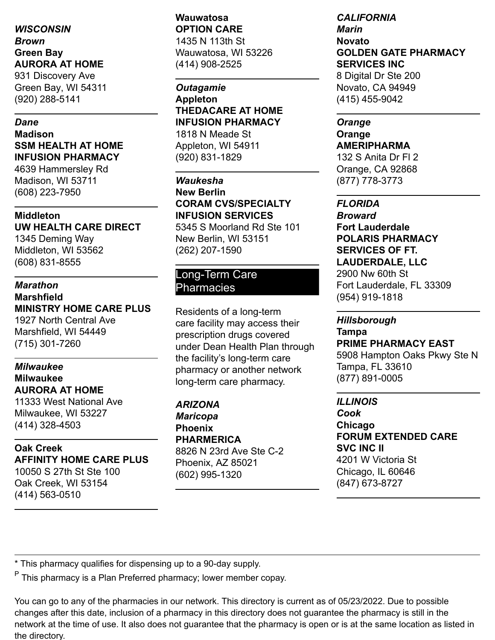## *WISCONSIN Brown* **Green Bay AURORA AT HOME** 931 Discovery Ave

Green Bay, WI 54311 (920) 288-5141

#### *Dane*

**Madison SSM HEALTH AT HOME INFUSION PHARMACY**

4639 Hammersley Rd Madison, WI 53711 (608) 223-7950

#### **Middleton**

**UW HEALTH CARE DIRECT** 1345 Deming Way Middleton, WI 53562 (608) 831-8555

#### *Marathon*

**Marshfield MINISTRY HOME CARE PLUS** 1927 North Central Ave Marshfield, WI 54449 (715) 301-7260

## *Milwaukee* **Milwaukee AURORA AT HOME**

11333 West National Ave Milwaukee, WI 53227 (414) 328-4503

#### **Oak Creek AFFINITY HOME CARE PLUS** 10050 S 27th St Ste 100 Oak Creek, WI 53154 (414) 563-0510

#### **Wauwatosa OPTION CARE** 1435 N 113th St Wauwatosa, WI 53226 (414) 908-2525

*Outagamie* **Appleton THEDACARE AT HOME INFUSION PHARMACY** 1818 N Meade St Appleton, WI 54911 (920) 831-1829

## *Waukesha* **New Berlin CORAM CVS/SPECIALTY INFUSION SERVICES**

5345 S Moorland Rd Ste 101 New Berlin, WI 53151 (262) 207-1590

## Long-Term Care Pharmacies

Residents of a long-term care facility may access their prescription drugs covered under Dean Health Plan through the facility's long-term care pharmacy or another network long-term care pharmacy.

*ARIZONA Maricopa* **Phoenix PHARMERICA** 8826 N 23rd Ave Ste C-2 Phoenix, AZ 85021 (602) 995-1320

#### *CALIFORNIA Marin* **Novato GOLDEN GATE PHARMACY SERVICES INC** 8 Digital Dr Ste 200 Novato, CA 94949 (415) 455-9042

#### *Orange* **Orange AMERIPHARMA** 132 S Anita Dr Fl 2 Orange, CA 92868

(877) 778-3773

## *FLORIDA*

*Broward* **Fort Lauderdale POLARIS PHARMACY SERVICES OF FT. LAUDERDALE, LLC** 2900 Nw 60th St Fort Lauderdale, FL 33309 (954) 919-1818

#### *Hillsborough*

**Tampa PRIME PHARMACY EAST** 5908 Hampton Oaks Pkwy Ste N Tampa, FL 33610 (877) 891-0005

#### *ILLINOIS*

*Cook* **Chicago FORUM EXTENDED CARE SVC INC II** 4201 W Victoria St Chicago, IL 60646 (847) 673-8727

\* This pharmacy qualifies for dispensing up to a 90-day supply.

<sup>P</sup> This pharmacy is a Plan Preferred pharmacy; lower member copay.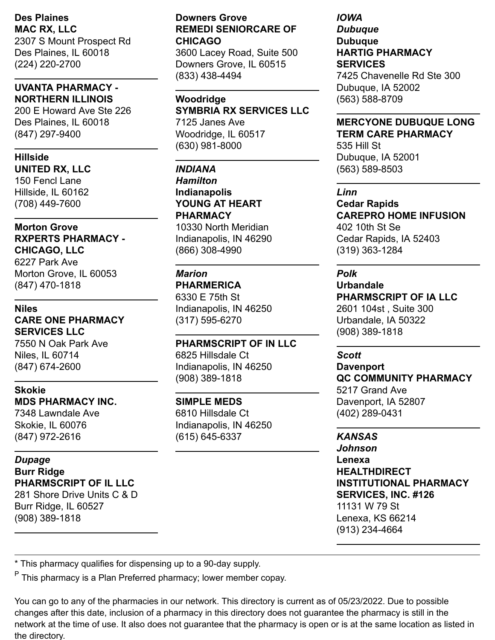**Des Plaines MAC RX, LLC** 2307 S Mount Prospect Rd Des Plaines, IL 60018 (224) 220-2700

#### **UVANTA PHARMACY - NORTHERN ILLINOIS**

200 E Howard Ave Ste 226 Des Plaines, IL 60018 (847) 297-9400

#### **Hillside**

**UNITED RX, LLC** 150 Fencl Lane Hillside, IL 60162 (708) 449-7600

#### **Morton Grove RXPERTS PHARMACY - CHICAGO, LLC** 6227 Park Ave Morton Grove, IL 60053 (847) 470-1818

#### **Niles**

**CARE ONE PHARMACY SERVICES LLC** 7550 N Oak Park Ave

Niles, IL 60714 (847) 674-2600

#### **Skokie MDS PHARMACY INC.**

7348 Lawndale Ave Skokie, IL 60076 (847) 972-2616

## *Dupage*

**Burr Ridge PHARMSCRIPT OF IL LLC** 281 Shore Drive Units C & D Burr Ridge, IL 60527 (908) 389-1818

#### **Downers Grove REMEDI SENIORCARE OF CHICAGO**

3600 Lacey Road, Suite 500 Downers Grove, IL 60515 (833) 438-4494

#### **Woodridge SYMBRIA RX SERVICES LLC** 7125 Janes Ave

Woodridge, IL 60517 (630) 981-8000

#### *INDIANA*

*Hamilton* **Indianapolis YOUNG AT HEART PHARMACY** 10330 North Meridian

Indianapolis, IN 46290 (866) 308-4990

## *Marion*

**PHARMERICA**

6330 E 75th St Indianapolis, IN 46250 (317) 595-6270

#### **PHARMSCRIPT OF IN LLC**

6825 Hillsdale Ct Indianapolis, IN 46250 (908) 389-1818

#### **SIMPLE MEDS**

6810 Hillsdale Ct Indianapolis, IN 46250 (615) 645-6337

#### *IOWA Dubuque* **Dubuque HARTIG PHARMACY SERVICES**

7425 Chavenelle Rd Ste 300 Dubuque, IA 52002 (563) 588-8709

## **MERCYONE DUBUQUE LONG TERM CARE PHARMACY**

535 Hill St Dubuque, IA 52001 (563) 589-8503

#### *Linn*

#### **Cedar Rapids CAREPRO HOME INFUSION** 402 10th St Se

Cedar Rapids, IA 52403 (319) 363-1284

## *Polk*

#### **Urbandale PHARMSCRIPT OF IA LLC** 2601 104st , Suite 300

Urbandale, IA 50322 (908) 389-1818

## *Scott*

## **Davenport QC COMMUNITY PHARMACY** 5217 Grand Ave Davenport, IA 52807 (402) 289-0431

#### *KANSAS*

*Johnson* **Lenexa HEALTHDIRECT INSTITUTIONAL PHARMACY SERVICES, INC. #126** 11131 W 79 St Lenexa, KS 66214 (913) 234-4664

\* This pharmacy qualifies for dispensing up to a 90-day supply.

<sup>P</sup> This pharmacy is a Plan Preferred pharmacy; lower member copay.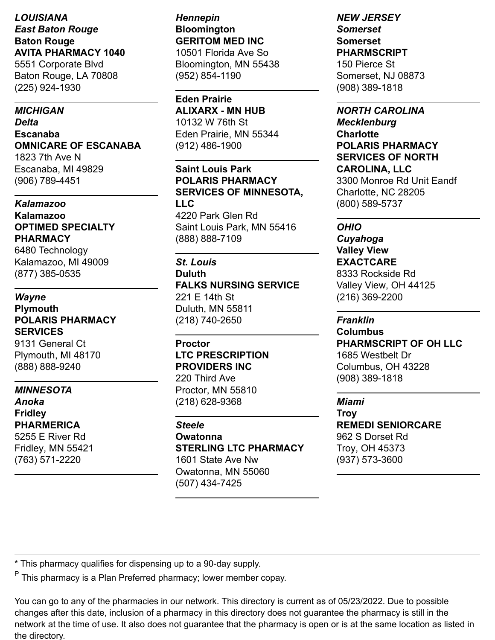## *LOUISIANA East Baton Rouge* **Baton Rouge AVITA PHARMACY 1040** 5551 Corporate Blvd

Baton Rouge, LA 70808 (225) 924-1930

#### *MICHIGAN*

*Delta* **Escanaba OMNICARE OF ESCANABA** 1823 7th Ave N

Escanaba, MI 49829 (906) 789-4451

#### *Kalamazoo* **Kalamazoo OPTIMED SPECIALTY PHARMACY**

6480 Technology Kalamazoo, MI 49009 (877) 385-0535

## *Wayne*

#### **Plymouth POLARIS PHARMACY SERVICES**

9131 General Ct Plymouth, MI 48170 (888) 888-9240

#### *MINNESOTA*

*Anoka* **Fridley** Fridley, MN 55421

**PHARMERICA** 5255 E River Rd

(763) 571-2220

## *Hennepin* **Bloomington GERITOM MED INC**

10501 Florida Ave So Bloomington, MN 55438 (952) 854-1190

#### **Eden Prairie**

**ALIXARX - MN HUB** 10132 W 76th St Eden Prairie, MN 55344 (912) 486-1900

## **Saint Louis Park POLARIS PHARMACY SERVICES OF MINNESOTA, LLC**

4220 Park Glen Rd Saint Louis Park, MN 55416 (888) 888-7109

## *St. Louis*

#### **Duluth FALKS NURSING SERVICE**

221 E 14th St Duluth, MN 55811 (218) 740-2650

## **Proctor LTC PRESCRIPTION PROVIDERS INC**

220 Third Ave Proctor, MN 55810 (218) 628-9368

## *Steele*

**Owatonna STERLING LTC PHARMACY** 1601 State Ave Nw Owatonna, MN 55060 (507) 434-7425

#### *NEW JERSEY Somerset* **Somerset**

**PHARMSCRIPT** 150 Pierce St Somerset, NJ 08873 (908) 389-1818

#### *NORTH CAROLINA*

*Mecklenburg* **Charlotte POLARIS PHARMACY SERVICES OF NORTH CAROLINA, LLC** 3300 Monroe Rd Unit Eandf Charlotte, NC 28205 (800) 589-5737

#### *OHIO*

*Cuyahoga* **Valley View EXACTCARE** 8333 Rockside Rd Valley View, OH 44125 (216) 369-2200

#### *Franklin*

**Columbus PHARMSCRIPT OF OH LLC** 1685 Westbelt Dr Columbus, OH 43228 (908) 389-1818

#### *Miami*

**Troy REMEDI SENIORCARE** 962 S Dorset Rd Troy, OH 45373 (937) 573-3600

\* This pharmacy qualifies for dispensing up to a 90-day supply.

<sup>P</sup> This pharmacy is a Plan Preferred pharmacy; lower member copay.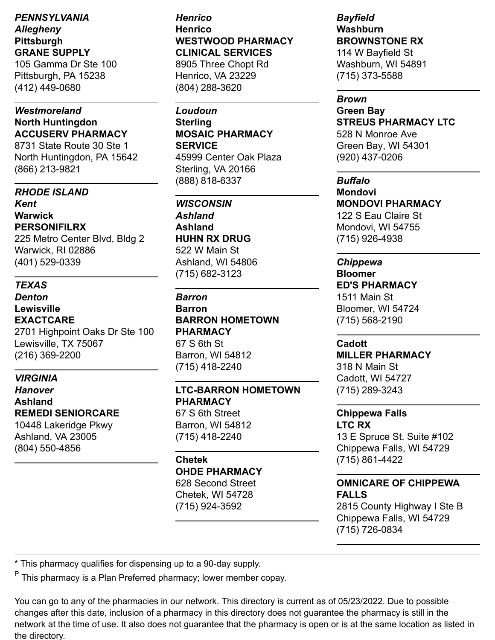*PENNSYLVANIA Allegheny* **Pittsburgh GRANE SUPPLY**

105 Gamma Dr Ste 100 Pittsburgh, PA 15238 (412) 449-0680

#### *Westmoreland* **North Huntingdon ACCUSERV PHARMACY**

8731 State Route 30 Ste 1 North Huntingdon, PA 15642 (866) 213-9821

#### *RHODE ISLAND*

*Kent* **Warwick PERSONIFILRX**

225 Metro Center Blvd, Bldg 2 Warwick, RI 02886 (401) 529-0339

#### *TEXAS*

*Denton* **Lewisville EXACTCARE** 2701 Highpoint Oaks Dr Ste 100 Lewisville, TX 75067 (216) 369-2200

#### *VIRGINIA*

*Hanover* **Ashland REMEDI SENIORCARE** 10448 Lakeridge Pkwy

Ashland, VA 23005 (804) 550-4856

*Henrico* **Henrico WESTWOOD PHARMACY CLINICAL SERVICES**

8905 Three Chopt Rd Henrico, VA 23229 (804) 288-3620

## *Loudoun*

**Sterling MOSAIC PHARMACY SERVICE** 45999 Center Oak Plaza Sterling, VA 20166 (888) 818-6337

*WISCONSIN Ashland* **Ashland HUHN RX DRUG** 522 W Main St Ashland, WI 54806 (715) 682-3123

*Barron* **Barron BARRON HOMETOWN PHARMACY** 67 S 6th St Barron, WI 54812 (715) 418-2240

#### **LTC-BARRON HOMETOWN PHARMACY**

67 S 6th Street Barron, WI 54812 (715) 418-2240

## **Chetek**

**OHDE PHARMACY** 628 Second Street

Chetek, WI 54728 (715) 924-3592

## *Bayfield* **Washburn BROWNSTONE RX**

114 W Bayfield St Washburn, WI 54891 (715) 373-5588

#### *Brown*

**Green Bay STREUS PHARMACY LTC** 528 N Monroe Ave Green Bay, WI 54301 (920) 437-0206

#### *Buffalo*

**Mondovi MONDOVI PHARMACY** 122 S Eau Claire St Mondovi, WI 54755 (715) 926-4938

#### *Chippewa* **Bloomer**

**ED'S PHARMACY**

1511 Main St Bloomer, WI 54724 (715) 568-2190

#### **Cadott**

**MILLER PHARMACY**

318 N Main St Cadott, WI 54727 (715) 289-3243

#### **Chippewa Falls LTC RX**

13 E Spruce St. Suite #102 Chippewa Falls, WI 54729 (715) 861-4422

## **OMNICARE OF CHIPPEWA FALLS**

2815 County Highway I Ste B Chippewa Falls, WI 54729 (715) 726-0834

\* This pharmacy qualifies for dispensing up to a 90-day supply.

<sup>P</sup> This pharmacy is a Plan Preferred pharmacy; lower member copay.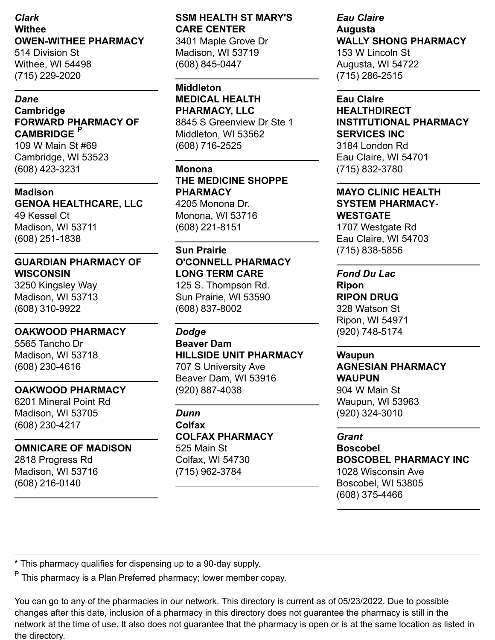#### *Clark* **Withee OWEN-WITHEE PHARMACY**

514 Division St Withee, WI 54498 (715) 229-2020

#### *Dane*

#### **Cambridge FORWARD PHARMACY OF CAMBRIDGE P**

109 W Main St #69 Cambridge, WI 53523 (608) 423-3231

#### **Madison**

**GENOA HEALTHCARE, LLC** 49 Kessel Ct Madison, WI 53711 (608) 251-1838

## **GUARDIAN PHARMACY OF WISCONSIN**

3250 Kingsley Way Madison, WI 53713 (608) 310-9922

#### **OAKWOOD PHARMACY**

5565 Tancho Dr Madison, WI 53718 (608) 230-4616

#### **OAKWOOD PHARMACY**

6201 Mineral Point Rd Madison, WI 53705 (608) 230-4217

#### **OMNICARE OF MADISON**

2818 Progress Rd Madison, WI 53716 (608) 216-0140

## **SSM HEALTH ST MARY'S CARE CENTER**

3401 Maple Grove Dr Madison, WI 53719 (608) 845-0447

**Middleton MEDICAL HEALTH PHARMACY, LLC**

8845 S Greenview Dr Ste 1 Middleton, WI 53562 (608) 716-2525

## **Monona**

**THE MEDICINE SHOPPE PHARMACY** 4205 Monona Dr.

Monona, WI 53716 (608) 221-8151

#### **Sun Prairie**

**O'CONNELL PHARMACY LONG TERM CARE** 125 S. Thompson Rd. Sun Prairie, WI 53590 (608) 837-8002

#### *Dodge*

**Beaver Dam HILLSIDE UNIT PHARMACY** 707 S University Ave Beaver Dam, WI 53916 (920) 887-4038

## *Dunn*

**Colfax COLFAX PHARMACY** 525 Main St Colfax, WI 54730 (715) 962-3784

#### *Eau Claire* **Augusta WALLY SHONG PHARMACY** 153 W Lincoln St Augusta, WI 54722 (715) 286-2515

#### **Eau Claire**

**HEALTHDIRECT INSTITUTIONAL PHARMACY SERVICES INC** 3184 London Rd Eau Claire, WI 54701 (715) 832-3780

#### **MAYO CLINIC HEALTH SYSTEM PHARMACY-WESTGATE**

1707 Westgate Rd Eau Claire, WI 54703 (715) 838-5856

## *Fond Du Lac*

**Ripon RIPON DRUG** 328 Watson St Ripon, WI 54971 (920) 748-5174

#### **Waupun**

**AGNESIAN PHARMACY WAUPUN** 904 W Main St

Waupun, WI 53963 (920) 324-3010

(608) 375-4466

#### *Grant*

**Boscobel BOSCOBEL PHARMACY INC** 1028 Wisconsin Ave Boscobel, WI 53805

\* This pharmacy qualifies for dispensing up to a 90-day supply.

<sup>P</sup> This pharmacy is a Plan Preferred pharmacy; lower member copay.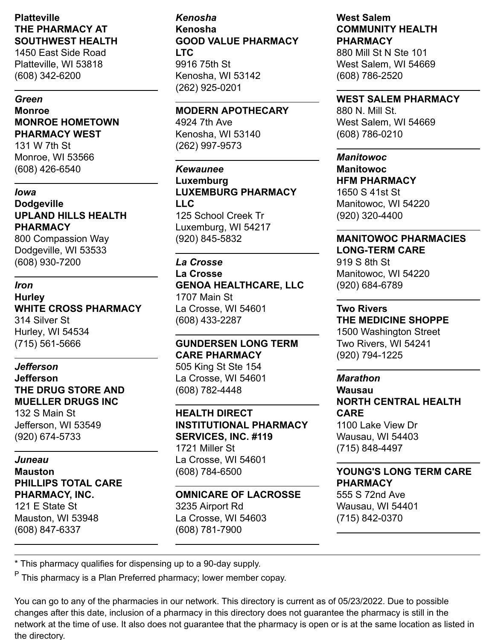#### **Platteville THE PHARMACY AT SOUTHWEST HEALTH**

1450 East Side Road Platteville, WI 53818 (608) 342-6200

#### *Green*

**Monroe MONROE HOMETOWN PHARMACY WEST**

131 W 7th St Monroe, WI 53566 (608) 426-6540

#### *Iowa*

**Dodgeville UPLAND HILLS HEALTH PHARMACY**

800 Compassion Way Dodgeville, WI 53533 (608) 930-7200

#### *Iron*

**Hurley WHITE CROSS PHARMACY** 314 Silver St Hurley, WI 54534 (715) 561-5666

#### *Jefferson*

**Jefferson THE DRUG STORE AND MUELLER DRUGS INC**

132 S Main St Jefferson, WI 53549 (920) 674-5733

#### *Juneau*

**Mauston PHILLIPS TOTAL CARE PHARMACY, INC.**

121 E State St Mauston, WI 53948 (608) 847-6337

#### *Kenosha* **Kenosha GOOD VALUE PHARMACY LTC** 9916 75th St Kenosha, WI 53142 (262) 925-0201

**MODERN APOTHECARY**

4924 7th Ave Kenosha, WI 53140 (262) 997-9573

## *Kewaunee* **Luxemburg LUXEMBURG PHARMACY LLC**

125 School Creek Tr Luxemburg, WI 54217 (920) 845-5832

## *La Crosse*

**La Crosse GENOA HEALTHCARE, LLC** 1707 Main St La Crosse, WI 54601 (608) 433-2287

**GUNDERSEN LONG TERM CARE PHARMACY** 505 King St Ste 154 La Crosse, WI 54601 (608) 782-4448

#### **HEALTH DIRECT INSTITUTIONAL PHARMACY SERVICES, INC. #119** 1721 Miller St La Crosse, WI 54601 (608) 784-6500

#### **OMNICARE OF LACROSSE** 3235 Airport Rd La Crosse, WI 54603 (608) 781-7900

## **West Salem COMMUNITY HEALTH PHARMACY**

880 Mill St N Ste 101 West Salem, WI 54669 (608) 786-2520

#### **WEST SALEM PHARMACY**

880 N. Mill St. West Salem, WI 54669 (608) 786-0210

#### *Manitowoc*

**Manitowoc HFM PHARMACY** 1650 S 41st St Manitowoc, WI 54220 (920) 320-4400

#### **MANITOWOC PHARMACIES LONG-TERM CARE**

919 S 8th St Manitowoc, WI 54220 (920) 684-6789

#### **Two Rivers**

**THE MEDICINE SHOPPE** 1500 Washington Street Two Rivers, WI 54241 (920) 794-1225

#### *Marathon*

**Wausau NORTH CENTRAL HEALTH CARE** 1100 Lake View Dr Wausau, WI 54403

(715) 848-4497

#### **YOUNG'S LONG TERM CARE PHARMACY**

555 S 72nd Ave Wausau, WI 54401 (715) 842-0370

\* This pharmacy qualifies for dispensing up to a 90-day supply.

<sup>P</sup> This pharmacy is a Plan Preferred pharmacy; lower member copay.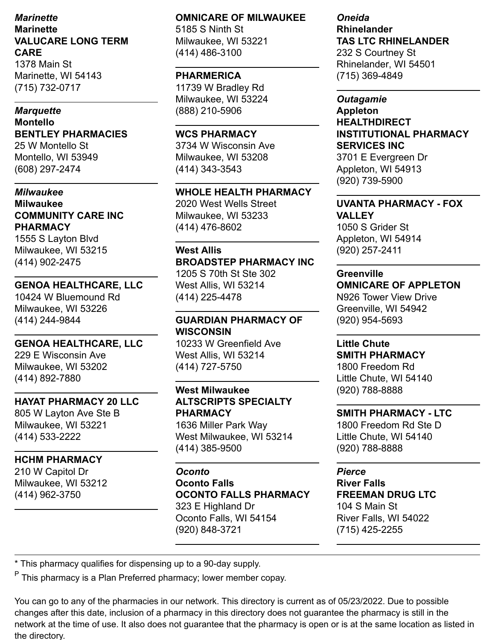## *Marinette* **Marinette VALUCARE LONG TERM CARE**

1378 Main St Marinette, WI 54143 (715) 732-0717

#### *Marquette*

**Montello BENTLEY PHARMACIES** 25 W Montello St Montello, WI 53949 (608) 297-2474

#### *Milwaukee* **Milwaukee COMMUNITY CARE INC PHARMACY**

1555 S Layton Blvd Milwaukee, WI 53215 (414) 902-2475

#### **GENOA HEALTHCARE, LLC**

10424 W Bluemound Rd Milwaukee, WI 53226 (414) 244-9844

#### **GENOA HEALTHCARE, LLC**

229 E Wisconsin Ave Milwaukee, WI 53202 (414) 892-7880

#### **HAYAT PHARMACY 20 LLC**

805 W Layton Ave Ste B Milwaukee, WI 53221 (414) 533-2222

## **HCHM PHARMACY**

210 W Capitol Dr Milwaukee, WI 53212 (414) 962-3750

#### **OMNICARE OF MILWAUKEE**

5185 S Ninth St Milwaukee, WI 53221 (414) 486-3100

#### **PHARMERICA**

11739 W Bradley Rd Milwaukee, WI 53224 (888) 210-5906

## **WCS PHARMACY**

3734 W Wisconsin Ave Milwaukee, WI 53208 (414) 343-3543

## **WHOLE HEALTH PHARMACY**

2020 West Wells Street Milwaukee, WI 53233 (414) 476-8602

#### **West Allis**

## **BROADSTEP PHARMACY INC**

1205 S 70th St Ste 302 West Allis, WI 53214 (414) 225-4478

## **GUARDIAN PHARMACY OF WISCONSIN**

10233 W Greenfield Ave West Allis, WI 53214 (414) 727-5750

## **West Milwaukee ALTSCRIPTS SPECIALTY PHARMACY**

1636 Miller Park Way West Milwaukee, WI 53214 (414) 385-9500

#### *Oconto* **Oconto Falls**

## **OCONTO FALLS PHARMACY**

323 E Highland Dr Oconto Falls, WI 54154 (920) 848-3721

#### *Oneida* **Rhinelander TAS LTC RHINELANDER** 232 S Courtney St Rhinelander, WI 54501 (715) 369-4849

*Outagamie* **Appleton HEALTHDIRECT INSTITUTIONAL PHARMACY SERVICES INC**

3701 E Evergreen Dr Appleton, WI 54913 (920) 739-5900

#### **UVANTA PHARMACY - FOX VALLEY**

1050 S Grider St Appleton, WI 54914 (920) 257-2411

#### **Greenville**

## **OMNICARE OF APPLETON**

N926 Tower View Drive Greenville, WI 54942 (920) 954-5693

## **Little Chute**

#### **SMITH PHARMACY**

1800 Freedom Rd Little Chute, WI 54140 (920) 788-8888

#### **SMITH PHARMACY - LTC**

1800 Freedom Rd Ste D Little Chute, WI 54140 (920) 788-8888

#### *Pierce*

#### **River Falls FREEMAN DRUG LTC** 104 S Main St River Falls, WI 54022 (715) 425-2255

\* This pharmacy qualifies for dispensing up to a 90-day supply.

<sup>P</sup> This pharmacy is a Plan Preferred pharmacy; lower member copay.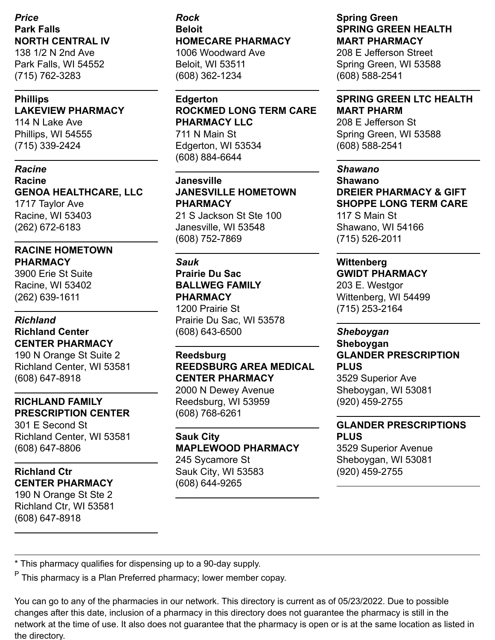## *Price* **Park Falls NORTH CENTRAL IV** 138 1/2 N 2nd Ave

Park Falls, WI 54552 (715) 762-3283

#### **Phillips LAKEVIEW PHARMACY**

114 N Lake Ave Phillips, WI 54555 (715) 339-2424

#### *Racine*

#### **Racine GENOA HEALTHCARE, LLC** 1717 Taylor Ave

Racine, WI 53403 (262) 672-6183

## **RACINE HOMETOWN PHARMACY**

3900 Erie St Suite Racine, WI 53402 (262) 639-1611

## *Richland* **Richland Center CENTER PHARMACY**

190 N Orange St Suite 2 Richland Center, WI 53581 (608) 647-8918

## **RICHLAND FAMILY PRESCRIPTION CENTER**

301 E Second St Richland Center, WI 53581 (608) 647-8806

## **Richland Ctr CENTER PHARMACY**

190 N Orange St Ste 2 Richland Ctr, WI 53581 (608) 647-8918

#### *Rock* **Beloit HOMECARE PHARMACY** 1006 Woodward Ave

Beloit, WI 53511 (608) 362-1234

#### **Edgerton**

**ROCKMED LONG TERM CARE PHARMACY LLC** 711 N Main St

Edgerton, WI 53534 (608) 884-6644

## **Janesville JANESVILLE HOMETOWN PHARMACY**

21 S Jackson St Ste 100 Janesville, WI 53548 (608) 752-7869

## *Sauk*

## **Prairie Du Sac BALLWEG FAMILY PHARMACY**

1200 Prairie St Prairie Du Sac, WI 53578 (608) 643-6500

#### **Reedsburg REEDSBURG AREA MEDICAL CENTER PHARMACY** 2000 N Dewey Avenue

Reedsburg, WI 53959 (608) 768-6261

#### **Sauk City MAPLEWOOD PHARMACY** 245 Sycamore St Sauk City, WI 53583 (608) 644-9265

#### **Spring Green SPRING GREEN HEALTH MART PHARMACY**

208 E Jefferson Street Spring Green, WI 53588 (608) 588-2541

#### **SPRING GREEN LTC HEALTH MART PHARM**

208 E Jefferson St Spring Green, WI 53588 (608) 588-2541

#### *Shawano*

**Shawano DREIER PHARMACY & GIFT SHOPPE LONG TERM CARE** 117 S Main St Shawano, WI 54166 (715) 526-2011

## **Wittenberg**

## **GWIDT PHARMACY**

203 E. Westgor Wittenberg, WI 54499 (715) 253-2164

## *Sheboygan*

## **Sheboygan GLANDER PRESCRIPTION PLUS**

3529 Superior Ave Sheboygan, WI 53081 (920) 459-2755

## **GLANDER PRESCRIPTIONS PLUS**

3529 Superior Avenue Sheboygan, WI 53081 (920) 459-2755

\* This pharmacy qualifies for dispensing up to a 90-day supply.

<sup>P</sup> This pharmacy is a Plan Preferred pharmacy; lower member copay.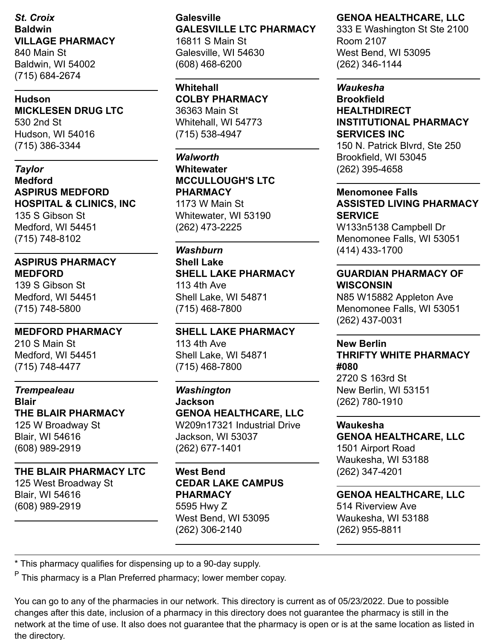*St. Croix* **Baldwin VILLAGE PHARMACY** 840 Main St Baldwin, WI 54002 (715) 684-2674

#### **Hudson MICKLESEN DRUG LTC**

530 2nd St Hudson, WI 54016 (715) 386-3344

*Taylor* **Medford ASPIRUS MEDFORD HOSPITAL & CLINICS, INC** 135 S Gibson St Medford, WI 54451 (715) 748-8102

#### **ASPIRUS PHARMACY MEDFORD**

139 S Gibson St Medford, WI 54451 (715) 748-5800

## **MEDFORD PHARMACY**

210 S Main St Medford, WI 54451 (715) 748-4477

## *Trempealeau*

**Blair THE BLAIR PHARMACY** 125 W Broadway St Blair, WI 54616 (608) 989-2919

## **THE BLAIR PHARMACY LTC**

125 West Broadway St Blair, WI 54616 (608) 989-2919

#### **Galesville GALESVILLE LTC PHARMACY** 16811 S Main St Galesville, WI 54630 (608) 468-6200

**Whitehall COLBY PHARMACY** 36363 Main St Whitehall, WI 54773 (715) 538-4947

#### *Walworth* **Whitewater**

**MCCULLOUGH'S LTC PHARMACY** 1173 W Main St

Whitewater, WI 53190 (262) 473-2225

#### *Washburn*

**Shell Lake SHELL LAKE PHARMACY** 113 4th Ave Shell Lake, WI 54871 (715) 468-7800

**SHELL LAKE PHARMACY** 113 4th Ave Shell Lake, WI 54871 (715) 468-7800

## *Washington* **Jackson GENOA HEALTHCARE, LLC** W209n17321 Industrial Drive

Jackson, WI 53037 (262) 677-1401

## **West Bend CEDAR LAKE CAMPUS PHARMACY** 5595 Hwy Z West Bend, WI 53095 (262) 306-2140

## **GENOA HEALTHCARE, LLC**

333 E Washington St Ste 2100 Room 2107 West Bend, WI 53095 (262) 346-1144

#### *Waukesha* **Brookfield HEALTHDIRECT INSTITUTIONAL PHARMACY SERVICES INC**

150 N. Patrick Blvrd, Ste 250 Brookfield, WI 53045 (262) 395-4658

## **Menomonee Falls ASSISTED LIVING PHARMACY SERVICE**

W133n5138 Campbell Dr Menomonee Falls, WI 53051 (414) 433-1700

## **GUARDIAN PHARMACY OF WISCONSIN**

N85 W15882 Appleton Ave Menomonee Falls, WI 53051 (262) 437-0031

#### **New Berlin THRIFTY WHITE PHARMACY #080** 2720 S 163rd St New Berlin, WI 53151 (262) 780-1910

**Waukesha GENOA HEALTHCARE, LLC** 1501 Airport Road Waukesha, WI 53188 (262) 347-4201

## **GENOA HEALTHCARE, LLC** 514 Riverview Ave Waukesha, WI 53188 (262) 955-8811

\* This pharmacy qualifies for dispensing up to a 90-day supply.

<sup>P</sup> This pharmacy is a Plan Preferred pharmacy; lower member copay.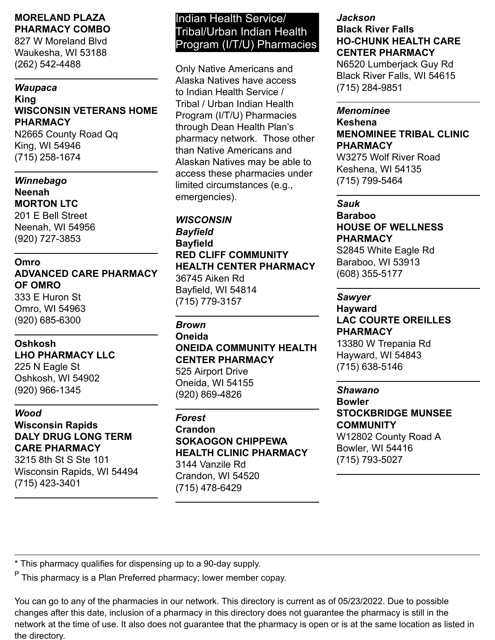#### **MORELAND PLAZA PHARMACY COMBO**

827 W Moreland Blvd Waukesha, WI 53188 (262) 542-4488

#### *Waupaca* **King WISCONSIN VETERANS HOME PHARMACY**

N2665 County Road Qq King, WI 54946 (715) 258-1674

## *Winnebago*

**Neenah MORTON LTC** 201 E Bell Street Neenah, WI 54956 (920) 727-3853

#### **Omro ADVANCED CARE PHARMACY OF OMRO**

333 E Huron St Omro, WI 54963 (920) 685-6300

## **Oshkosh**

**LHO PHARMACY LLC** 225 N Eagle St Oshkosh, WI 54902 (920) 966-1345

## *Wood*

## **Wisconsin Rapids DALY DRUG LONG TERM CARE PHARMACY**

3215 8th St S Ste 101 Wisconsin Rapids, WI 54494 (715) 423-3401

## Indian Health Service/ Tribal/Urban Indian Health Program (I/T/U) Pharmacies

Only Native Americans and Alaska Natives have access to Indian Health Service / Tribal / Urban Indian Health Program (I/T/U) Pharmacies through Dean Health Plan's pharmacy network. Those other than Native Americans and Alaskan Natives may be able to access these pharmacies under limited circumstances (e.g., emergencies).

## *WISCONSIN*

*Bayfield* **Bayfield RED CLIFF COMMUNITY HEALTH CENTER PHARMACY** 36745 Aiken Rd Bayfield, WI 54814 (715) 779-3157

## *Brown* **Oneida ONEIDA COMMUNITY HEALTH CENTER PHARMACY**

525 Airport Drive Oneida, WI 54155 (920) 869-4826

## *Forest*

**Crandon SOKAOGON CHIPPEWA HEALTH CLINIC PHARMACY** 3144 Vanzile Rd Crandon, WI 54520 (715) 478-6429

## *Jackson* **Black River Falls HO-CHUNK HEALTH CARE CENTER PHARMACY**

N6520 Lumberjack Guy Rd Black River Falls, WI 54615 (715) 284-9851

## *Menominee*

**Keshena MENOMINEE TRIBAL CLINIC PHARMACY**

W3275 Wolf River Road Keshena, WI 54135 (715) 799-5464

*Sauk* **Baraboo HOUSE OF WELLNESS PHARMACY** S2845 White Eagle Rd Baraboo, WI 53913 (608) 355-5177

## *Sawyer*

## **Hayward LAC COURTE OREILLES PHARMACY**

13380 W Trepania Rd Hayward, WI 54843 (715) 638-5146

## *Shawano*

## **Bowler STOCKBRIDGE MUNSEE COMMUNITY** W12802 County Road A Bowler, WI 54416 (715) 793-5027

\* This pharmacy qualifies for dispensing up to a 90-day supply.

<sup>P</sup> This pharmacy is a Plan Preferred pharmacy; lower member copay.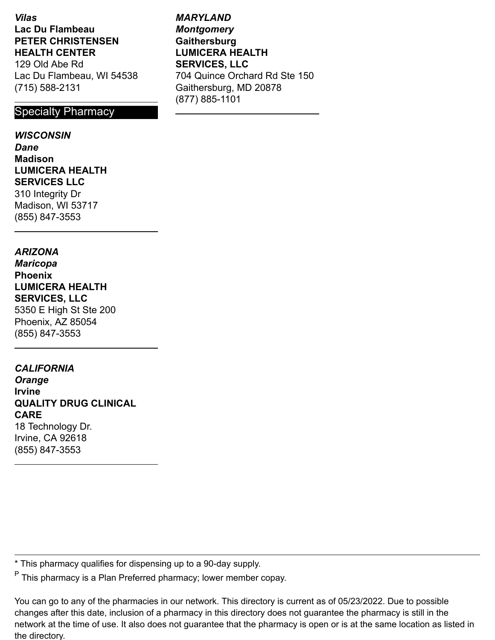*Vilas* **Lac Du Flambeau PETER CHRISTENSEN HEALTH CENTER**

129 Old Abe Rd Lac Du Flambeau, WI 54538 (715) 588-2131

#### Specialty Pharmacy

#### *WISCONSIN*

*Dane* **Madison LUMICERA HEALTH SERVICES LLC** 310 Integrity Dr Madison, WI 53717 (855) 847-3553

#### *ARIZONA*

*Maricopa* **Phoenix LUMICERA HEALTH SERVICES, LLC** 5350 E High St Ste 200 Phoenix, AZ 85054 (855) 847-3553

#### *CALIFORNIA*

*Orange* **Irvine QUALITY DRUG CLINICAL CARE** 18 Technology Dr. Irvine, CA 92618 (855) 847-3553

\* This pharmacy qualifies for dispensing up to a 90-day supply.

<sup>P</sup> This pharmacy is a Plan Preferred pharmacy; lower member copay.

You can go to any of the pharmacies in our network. This directory is current as of 05/23/2022. Due to possible changes after this date, inclusion of a pharmacy in this directory does not guarantee the pharmacy is still in the network at the time of use. It also does not guarantee that the pharmacy is open or is at the same location as listed in the directory.

*MARYLAND Montgomery* **Gaithersburg LUMICERA HEALTH SERVICES, LLC** 704 Quince Orchard Rd Ste 150 Gaithersburg, MD 20878 (877) 885-1101